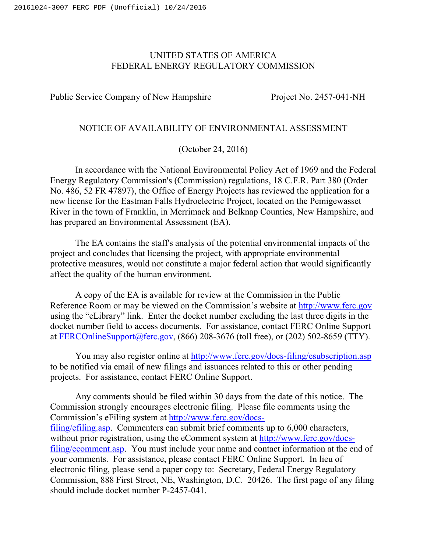## UNITED STATES OF AMERICA FEDERAL ENERGY REGULATORY COMMISSION

Public Service Company of New Hampshire Project No. 2457-041-NH

# NOTICE OF AVAILABILITY OF ENVIRONMENTAL ASSESSMENT

(October 24, 2016)

In accordance with the National Environmental Policy Act of 1969 and the Federal Energy Regulatory Commission's (Commission) regulations, 18 C.F.R. Part 380 (Order No. 486, 52 FR 47897), the Office of Energy Projects has reviewed the application for a new license for the Eastman Falls Hydroelectric Project, located on the Pemigewasset River in the town of Franklin, in Merrimack and Belknap Counties, New Hampshire, and has prepared an Environmental Assessment (EA).

The EA contains the staff's analysis of the potential environmental impacts of the project and concludes that licensing the project, with appropriate environmental protective measures, would not constitute a major federal action that would significantly affect the quality of the human environment.

A copy of the EA is available for review at the Commission in the Public Reference Room or may be viewed on the Commission's website at http://www.ferc.gov using the "eLibrary" link. Enter the docket number excluding the last three digits in the docket number field to access documents. For assistance, contact FERC Online Support at FERCOnlineSupport@ferc.gov, (866) 208-3676 (toll free), or (202) 502-8659 (TTY).

You may also register online at http://www.ferc.gov/docs-filing/esubscription.asp to be notified via email of new filings and issuances related to this or other pending projects. For assistance, contact FERC Online Support.

Any comments should be filed within 30 days from the date of this notice. The Commission strongly encourages electronic filing. Please file comments using the Commission's eFiling system at http://www.ferc.gov/docsfiling/efiling.asp. Commenters can submit brief comments up to 6,000 characters, without prior registration, using the eComment system at http://www.ferc.gov/docsfiling/ecomment.asp. You must include your name and contact information at the end of your comments. For assistance, please contact FERC Online Support. In lieu of electronic filing, please send a paper copy to: Secretary, Federal Energy Regulatory Commission, 888 First Street, NE, Washington, D.C. 20426. The first page of any filing should include docket number P-2457-041.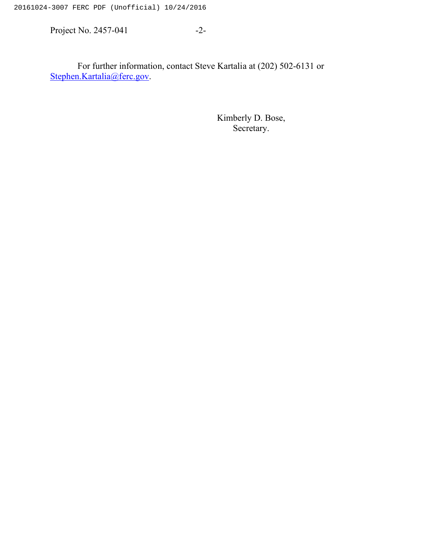20161024-3007 FERC PDF (Unofficial) 10/24/2016

Project No. 2457-041 -2-

For further information, contact Steve Kartalia at (202) 502-6131 or Stephen.Kartalia@ferc.gov.

> Kimberly D. Bose, Secretary.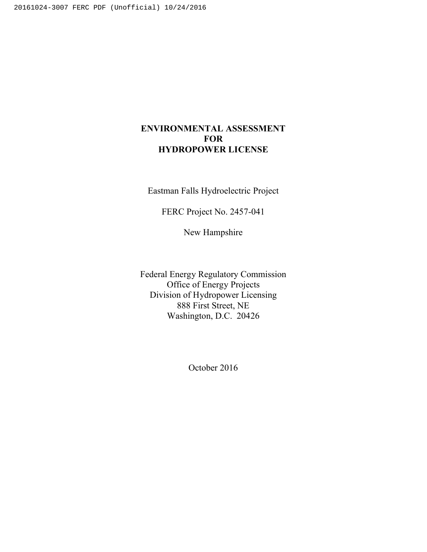# **ENVIRONMENTAL ASSESSMENT FOR HYDROPOWER LICENSE**

Eastman Falls Hydroelectric Project

FERC Project No. 2457-041

New Hampshire

Federal Energy Regulatory Commission Office of Energy Projects Division of Hydropower Licensing 888 First Street, NE Washington, D.C. 20426

October 2016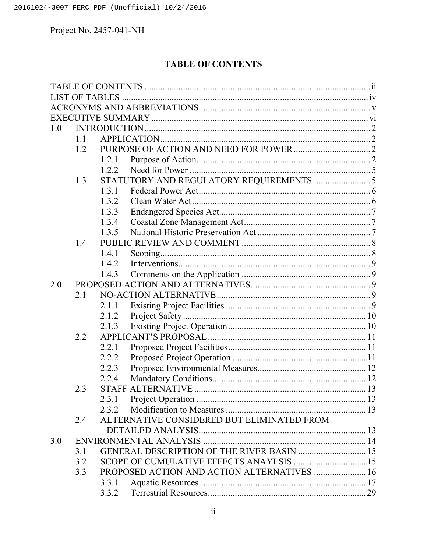# **TABLE OF CONTENTS**

| 1.0 |     |       |                                             |  |
|-----|-----|-------|---------------------------------------------|--|
|     | 1.1 |       |                                             |  |
|     | 1.2 |       |                                             |  |
|     |     | 1.2.1 |                                             |  |
|     |     | 1.2.2 |                                             |  |
|     | 1.3 |       | STATUTORY AND REGULATORY REQUIREMENTS  5    |  |
|     |     | 1.3.1 |                                             |  |
|     |     | 1.3.2 |                                             |  |
|     |     | 1.3.3 |                                             |  |
|     |     | 1.3.4 |                                             |  |
|     |     | 1.3.5 |                                             |  |
|     | 1.4 |       |                                             |  |
|     |     | 1.4.1 |                                             |  |
|     |     | 1.4.2 |                                             |  |
|     |     | 1.4.3 |                                             |  |
| 2.0 |     |       |                                             |  |
|     | 2.1 |       |                                             |  |
|     |     | 2.1.1 |                                             |  |
|     |     | 2.1.2 |                                             |  |
|     |     | 2.1.3 |                                             |  |
|     | 2.2 |       |                                             |  |
|     |     | 2.2.1 |                                             |  |
|     |     | 2.2.2 |                                             |  |
|     |     | 2.2.3 |                                             |  |
|     |     | 2.2.4 |                                             |  |
|     | 2.3 |       |                                             |  |
|     |     | 2.3.1 |                                             |  |
|     |     | 2.3.2 |                                             |  |
|     | 2.4 |       | ALTERNATIVE CONSIDERED BUT ELIMINATED FROM  |  |
|     |     |       |                                             |  |
| 3.0 |     |       |                                             |  |
|     | 3.1 |       | GENERAL DESCRIPTION OF THE RIVER BASIN  15  |  |
|     | 3.2 |       |                                             |  |
|     | 3.3 |       | PROPOSED ACTION AND ACTION ALTERNATIVES  16 |  |
|     |     | 3.3.1 |                                             |  |
|     |     | 3.3.2 |                                             |  |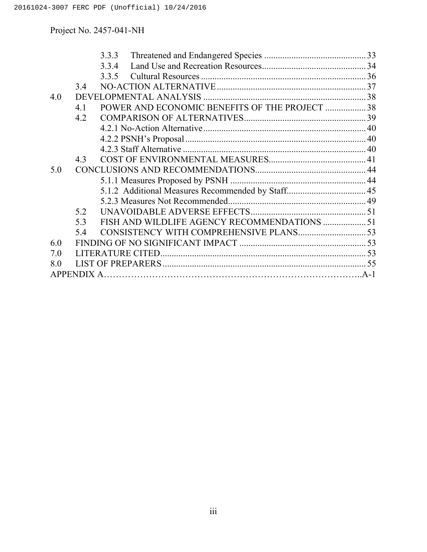|     |     | 3.3.3                                          |  |
|-----|-----|------------------------------------------------|--|
|     |     | 3.3.4                                          |  |
|     |     | 3.3.5                                          |  |
|     | 3.4 |                                                |  |
| 4.0 |     |                                                |  |
|     | 4.1 | POWER AND ECONOMIC BENEFITS OF THE PROJECT  38 |  |
|     | 4.2 |                                                |  |
|     |     |                                                |  |
|     |     |                                                |  |
|     |     |                                                |  |
|     | 4.3 |                                                |  |
| 5.0 |     |                                                |  |
|     |     |                                                |  |
|     |     |                                                |  |
|     |     |                                                |  |
|     | 5.2 |                                                |  |
|     | 5.3 | FISH AND WILDLIFE AGENCY RECOMMENDATIONS  51   |  |
|     | 5.4 |                                                |  |
| 6.0 |     |                                                |  |
| 7.0 |     |                                                |  |
| 8.0 |     |                                                |  |
|     |     |                                                |  |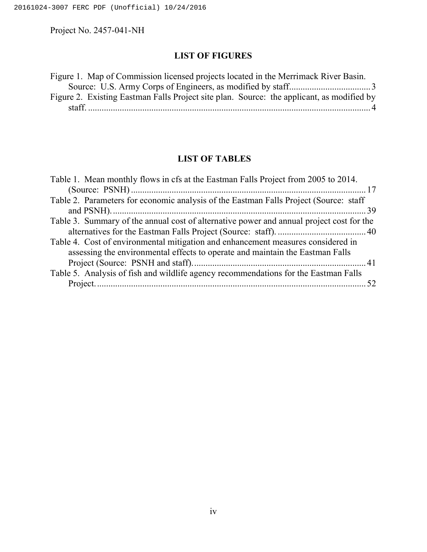# **LIST OF FIGURES**

| Figure 1. Map of Commission licensed projects located in the Merrimack River Basin.       |  |
|-------------------------------------------------------------------------------------------|--|
|                                                                                           |  |
| Figure 2. Existing Eastman Falls Project site plan. Source: the applicant, as modified by |  |
|                                                                                           |  |

# **LIST OF TABLES**

| Table 1. Mean monthly flows in cfs at the Eastman Falls Project from 2005 to 2014.       |  |
|------------------------------------------------------------------------------------------|--|
|                                                                                          |  |
| Table 2. Parameters for economic analysis of the Eastman Falls Project (Source: staff    |  |
|                                                                                          |  |
| Table 3. Summary of the annual cost of alternative power and annual project cost for the |  |
|                                                                                          |  |
| Table 4. Cost of environmental mitigation and enhancement measures considered in         |  |
| assessing the environmental effects to operate and maintain the Eastman Falls            |  |
|                                                                                          |  |
| Table 5. Analysis of fish and wildlife agency recommendations for the Eastman Falls      |  |
|                                                                                          |  |
|                                                                                          |  |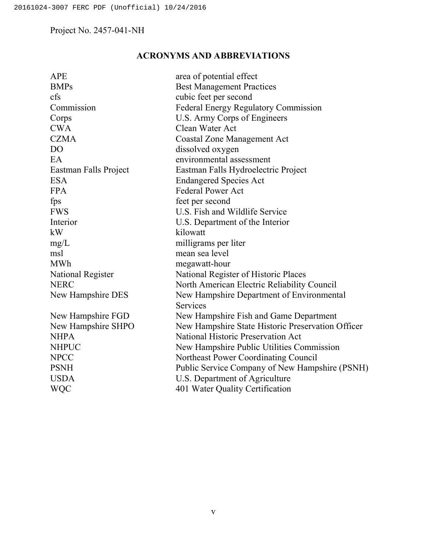# **ACRONYMS AND ABBREVIATIONS**

| <b>APE</b>            | area of potential effect                          |
|-----------------------|---------------------------------------------------|
| <b>BMPs</b>           | <b>Best Management Practices</b>                  |
| cfs                   | cubic feet per second                             |
| Commission            | Federal Energy Regulatory Commission              |
| Corps                 | U.S. Army Corps of Engineers                      |
| <b>CWA</b>            | Clean Water Act                                   |
| <b>CZMA</b>           | <b>Coastal Zone Management Act</b>                |
| D <sub>O</sub>        | dissolved oxygen                                  |
| EA                    | environmental assessment                          |
| Eastman Falls Project | Eastman Falls Hydroelectric Project               |
| <b>ESA</b>            | <b>Endangered Species Act</b>                     |
| <b>FPA</b>            | <b>Federal Power Act</b>                          |
| fps                   | feet per second                                   |
| <b>FWS</b>            | U.S. Fish and Wildlife Service                    |
| Interior              | U.S. Department of the Interior                   |
| kW                    | kilowatt                                          |
| mg/L                  | milligrams per liter                              |
| msl                   | mean sea level                                    |
| <b>MWh</b>            | megawatt-hour                                     |
| National Register     | National Register of Historic Places              |
| <b>NERC</b>           | North American Electric Reliability Council       |
| New Hampshire DES     | New Hampshire Department of Environmental         |
|                       | Services                                          |
| New Hampshire FGD     | New Hampshire Fish and Game Department            |
| New Hampshire SHPO    | New Hampshire State Historic Preservation Officer |
| <b>NHPA</b>           | National Historic Preservation Act                |
| <b>NHPUC</b>          | New Hampshire Public Utilities Commission         |
| <b>NPCC</b>           | Northeast Power Coordinating Council              |
| <b>PSNH</b>           | Public Service Company of New Hampshire (PSNH)    |
| <b>USDA</b>           | U.S. Department of Agriculture                    |
| WQC                   | 401 Water Quality Certification                   |
|                       |                                                   |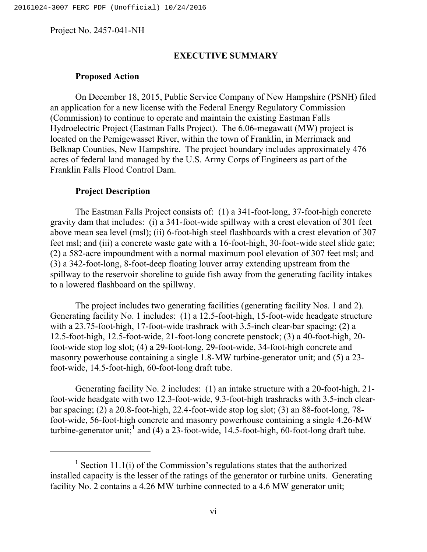#### **EXECUTIVE SUMMARY**

## **Proposed Action**

On December 18, 2015, Public Service Company of New Hampshire (PSNH) filed an application for a new license with the Federal Energy Regulatory Commission (Commission) to continue to operate and maintain the existing Eastman Falls Hydroelectric Project (Eastman Falls Project). The 6.06-megawatt (MW) project is located on the Pemigewasset River, within the town of Franklin, in Merrimack and Belknap Counties, New Hampshire. The project boundary includes approximately 476 acres of federal land managed by the U.S. Army Corps of Engineers as part of the Franklin Falls Flood Control Dam.

#### **Project Description**

 $\overline{a}$ 

The Eastman Falls Project consists of: (1) a 341-foot-long, 37-foot-high concrete gravity dam that includes: (i) a 341-foot-wide spillway with a crest elevation of 301 feet above mean sea level (msl); (ii) 6-foot-high steel flashboards with a crest elevation of 307 feet msl; and (iii) a concrete waste gate with a 16-foot-high, 30-foot-wide steel slide gate; (2) a 582-acre impoundment with a normal maximum pool elevation of 307 feet msl; and (3) a 342-foot-long, 8-foot-deep floating louver array extending upstream from the spillway to the reservoir shoreline to guide fish away from the generating facility intakes to a lowered flashboard on the spillway.

The project includes two generating facilities (generating facility Nos. 1 and 2). Generating facility No. 1 includes: (1) a 12.5-foot-high, 15-foot-wide headgate structure with a 23.75-foot-high, 17-foot-wide trashrack with 3.5-inch clear-bar spacing; (2) a 12.5-foot-high, 12.5-foot-wide, 21-foot-long concrete penstock; (3) a 40-foot-high, 20 foot-wide stop log slot; (4) a 29-foot-long, 29-foot-wide, 34-foot-high concrete and masonry powerhouse containing a single 1.8-MW turbine-generator unit; and (5) a 23 foot-wide, 14.5-foot-high, 60-foot-long draft tube.

Generating facility No. 2 includes: (1) an intake structure with a 20-foot-high, 21 foot-wide headgate with two 12.3-foot-wide, 9.3-foot-high trashracks with 3.5-inch clearbar spacing; (2) a 20.8-foot-high, 22.4-foot-wide stop log slot; (3) an 88-foot-long, 78 foot-wide, 56-foot-high concrete and masonry powerhouse containing a single 4.26-MW turbine-generator unit;<sup>1</sup> and (4) a 23-foot-wide, 14.5-foot-high,  $60$ -foot-long draft tube.

**<sup>1</sup>** Section 11.1(i) of the Commission's regulations states that the authorized installed capacity is the lesser of the ratings of the generator or turbine units. Generating facility No. 2 contains a 4.26 MW turbine connected to a 4.6 MW generator unit;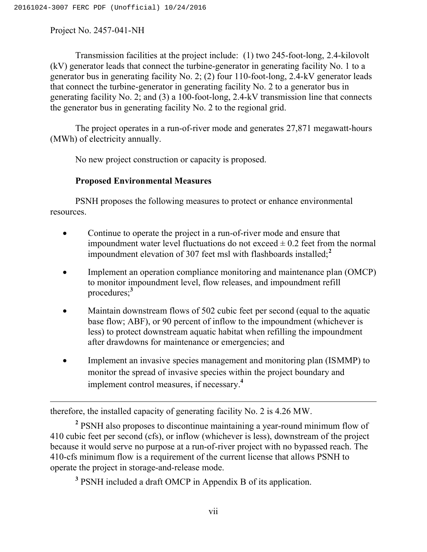Transmission facilities at the project include: (1) two 245-foot-long, 2.4-kilovolt (kV) generator leads that connect the turbine-generator in generating facility No. 1 to a generator bus in generating facility No. 2; (2) four 110-foot-long, 2.4-kV generator leads that connect the turbine-generator in generating facility No. 2 to a generator bus in generating facility No. 2; and (3) a 100-foot-long, 2.4-kV transmission line that connects the generator bus in generating facility No. 2 to the regional grid.

The project operates in a run-of-river mode and generates 27,871 megawatt-hours (MWh) of electricity annually.

No new project construction or capacity is proposed.

# **Proposed Environmental Measures**

PSNH proposes the following measures to protect or enhance environmental resources.

- Continue to operate the project in a run-of-river mode and ensure that impoundment water level fluctuations do not exceed  $\pm$  0.2 feet from the normal impoundment elevation of 307 feet msl with flashboards installed;**<sup>2</sup>**
- Implement an operation compliance monitoring and maintenance plan (OMCP) to monitor impoundment level, flow releases, and impoundment refill procedures;**<sup>3</sup>**
- Maintain downstream flows of 502 cubic feet per second (equal to the aquatic base flow; ABF), or 90 percent of inflow to the impoundment (whichever is less) to protect downstream aquatic habitat when refilling the impoundment after drawdowns for maintenance or emergencies; and
- Implement an invasive species management and monitoring plan (ISMMP) to monitor the spread of invasive species within the project boundary and implement control measures, if necessary.**<sup>4</sup>**

 $\overline{a}$ therefore, the installed capacity of generating facility No. 2 is 4.26 MW.

**<sup>2</sup>** PSNH also proposes to discontinue maintaining a year-round minimum flow of 410 cubic feet per second (cfs), or inflow (whichever is less), downstream of the project because it would serve no purpose at a run-of-river project with no bypassed reach. The 410-cfs minimum flow is a requirement of the current license that allows PSNH to operate the project in storage-and-release mode.

**<sup>3</sup>** PSNH included a draft OMCP in Appendix B of its application.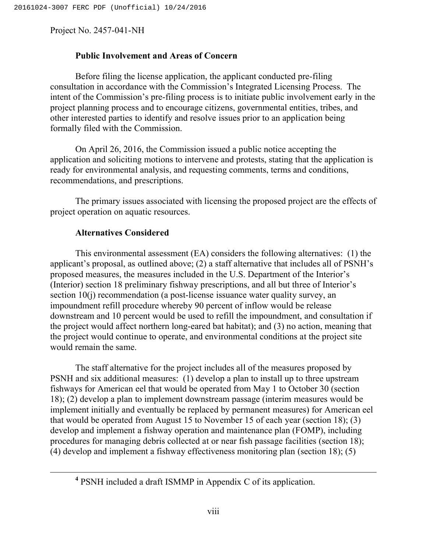## **Public Involvement and Areas of Concern**

Before filing the license application, the applicant conducted pre-filing consultation in accordance with the Commission's Integrated Licensing Process. The intent of the Commission's pre-filing process is to initiate public involvement early in the project planning process and to encourage citizens, governmental entities, tribes, and other interested parties to identify and resolve issues prior to an application being formally filed with the Commission.

On April 26, 2016, the Commission issued a public notice accepting the application and soliciting motions to intervene and protests, stating that the application is ready for environmental analysis, and requesting comments, terms and conditions, recommendations, and prescriptions.

The primary issues associated with licensing the proposed project are the effects of project operation on aquatic resources.

## **Alternatives Considered**

This environmental assessment (EA) considers the following alternatives: (1) the applicant's proposal, as outlined above; (2) a staff alternative that includes all of PSNH's proposed measures, the measures included in the U.S. Department of the Interior's (Interior) section 18 preliminary fishway prescriptions, and all but three of Interior's section 10(j) recommendation (a post-license issuance water quality survey, an impoundment refill procedure whereby 90 percent of inflow would be release downstream and 10 percent would be used to refill the impoundment, and consultation if the project would affect northern long-eared bat habitat); and (3) no action, meaning that the project would continue to operate, and environmental conditions at the project site would remain the same.

The staff alternative for the project includes all of the measures proposed by PSNH and six additional measures: (1) develop a plan to install up to three upstream fishways for American eel that would be operated from May 1 to October 30 (section 18); (2) develop a plan to implement downstream passage (interim measures would be implement initially and eventually be replaced by permanent measures) for American eel that would be operated from August 15 to November 15 of each year (section 18); (3) develop and implement a fishway operation and maintenance plan (FOMP), including procedures for managing debris collected at or near fish passage facilities (section 18); (4) develop and implement a fishway effectiveness monitoring plan (section 18); (5)

**<sup>4</sup>** PSNH included a draft ISMMP in Appendix C of its application.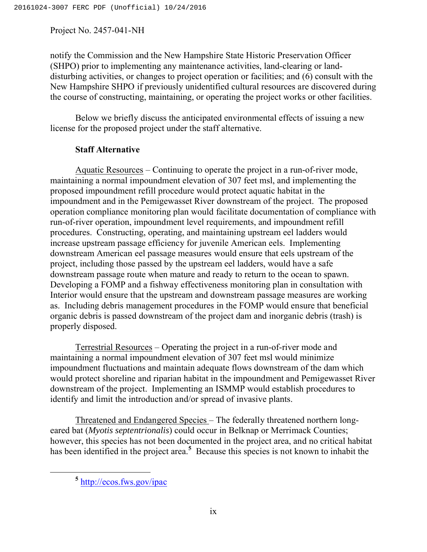notify the Commission and the New Hampshire State Historic Preservation Officer (SHPO) prior to implementing any maintenance activities, land-clearing or landdisturbing activities, or changes to project operation or facilities; and (6) consult with the New Hampshire SHPO if previously unidentified cultural resources are discovered during the course of constructing, maintaining, or operating the project works or other facilities.

Below we briefly discuss the anticipated environmental effects of issuing a new license for the proposed project under the staff alternative.

# **Staff Alternative**

Aquatic Resources – Continuing to operate the project in a run-of-river mode, maintaining a normal impoundment elevation of 307 feet msl, and implementing the proposed impoundment refill procedure would protect aquatic habitat in the impoundment and in the Pemigewasset River downstream of the project. The proposed operation compliance monitoring plan would facilitate documentation of compliance with run-of-river operation, impoundment level requirements, and impoundment refill procedures. Constructing, operating, and maintaining upstream eel ladders would increase upstream passage efficiency for juvenile American eels. Implementing downstream American eel passage measures would ensure that eels upstream of the project, including those passed by the upstream eel ladders, would have a safe downstream passage route when mature and ready to return to the ocean to spawn. Developing a FOMP and a fishway effectiveness monitoring plan in consultation with Interior would ensure that the upstream and downstream passage measures are working as. Including debris management procedures in the FOMP would ensure that beneficial organic debris is passed downstream of the project dam and inorganic debris (trash) is properly disposed.

Terrestrial Resources – Operating the project in a run-of-river mode and maintaining a normal impoundment elevation of 307 feet msl would minimize impoundment fluctuations and maintain adequate flows downstream of the dam which would protect shoreline and riparian habitat in the impoundment and Pemigewasset River downstream of the project. Implementing an ISMMP would establish procedures to identify and limit the introduction and/or spread of invasive plants.

Threatened and Endangered Species – The federally threatened northern longeared bat (*Myotis septentrionalis*) could occur in Belknap or Merrimack Counties; however, this species has not been documented in the project area, and no critical habitat has been identified in the project area.**<sup>5</sup>** Because this species is not known to inhabit the

**<sup>5</sup>** http://ecos.fws.gov/ipac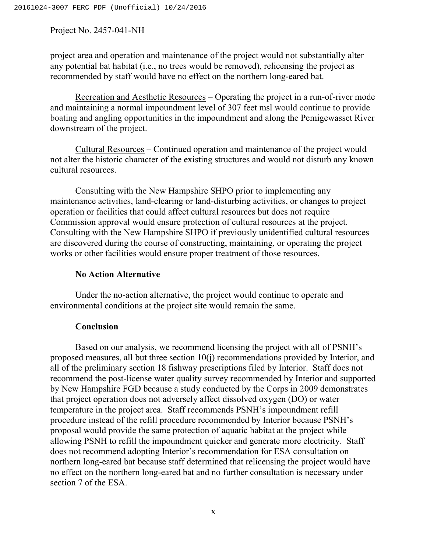project area and operation and maintenance of the project would not substantially alter any potential bat habitat (i.e., no trees would be removed), relicensing the project as recommended by staff would have no effect on the northern long-eared bat.

Recreation and Aesthetic Resources – Operating the project in a run-of-river mode and maintaining a normal impoundment level of 307 feet msl would continue to provide boating and angling opportunities in the impoundment and along the Pemigewasset River downstream of the project.

Cultural Resources – Continued operation and maintenance of the project would not alter the historic character of the existing structures and would not disturb any known cultural resources.

Consulting with the New Hampshire SHPO prior to implementing any maintenance activities, land-clearing or land-disturbing activities, or changes to project operation or facilities that could affect cultural resources but does not require Commission approval would ensure protection of cultural resources at the project. Consulting with the New Hampshire SHPO if previously unidentified cultural resources are discovered during the course of constructing, maintaining, or operating the project works or other facilities would ensure proper treatment of those resources.

## **No Action Alternative**

Under the no-action alternative, the project would continue to operate and environmental conditions at the project site would remain the same.

## **Conclusion**

Based on our analysis, we recommend licensing the project with all of PSNH's proposed measures, all but three section 10(j) recommendations provided by Interior, and all of the preliminary section 18 fishway prescriptions filed by Interior. Staff does not recommend the post-license water quality survey recommended by Interior and supported by New Hampshire FGD because a study conducted by the Corps in 2009 demonstrates that project operation does not adversely affect dissolved oxygen (DO) or water temperature in the project area. Staff recommends PSNH's impoundment refill procedure instead of the refill procedure recommended by Interior because PSNH's proposal would provide the same protection of aquatic habitat at the project while allowing PSNH to refill the impoundment quicker and generate more electricity. Staff does not recommend adopting Interior's recommendation for ESA consultation on northern long-eared bat because staff determined that relicensing the project would have no effect on the northern long-eared bat and no further consultation is necessary under section 7 of the ESA.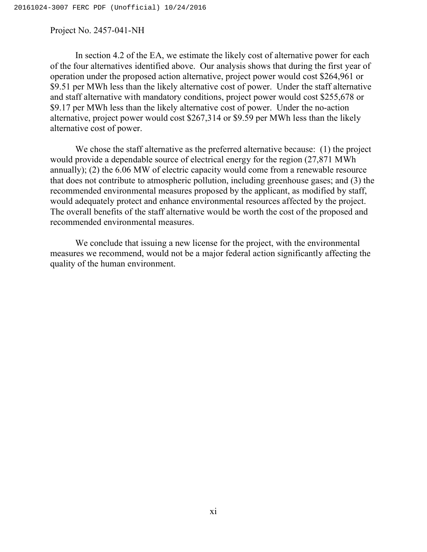In section 4.2 of the EA, we estimate the likely cost of alternative power for each of the four alternatives identified above. Our analysis shows that during the first year of operation under the proposed action alternative, project power would cost \$264,961 or \$9.51 per MWh less than the likely alternative cost of power. Under the staff alternative and staff alternative with mandatory conditions, project power would cost \$255,678 or \$9.17 per MWh less than the likely alternative cost of power. Under the no-action alternative, project power would cost \$267,314 or \$9.59 per MWh less than the likely alternative cost of power.

We chose the staff alternative as the preferred alternative because: (1) the project would provide a dependable source of electrical energy for the region (27,871 MWh annually); (2) the 6.06 MW of electric capacity would come from a renewable resource that does not contribute to atmospheric pollution, including greenhouse gases; and (3) the recommended environmental measures proposed by the applicant, as modified by staff, would adequately protect and enhance environmental resources affected by the project. The overall benefits of the staff alternative would be worth the cost of the proposed and recommended environmental measures.

We conclude that issuing a new license for the project, with the environmental measures we recommend, would not be a major federal action significantly affecting the quality of the human environment.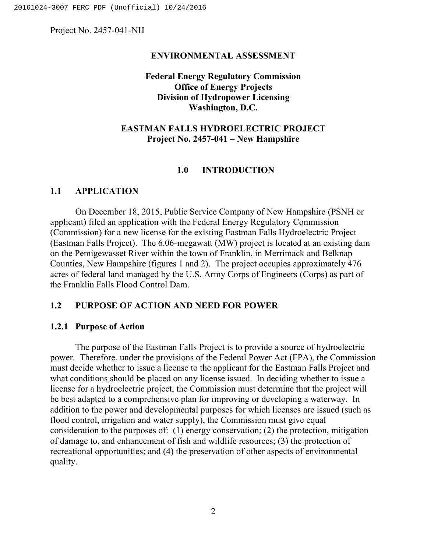#### **ENVIRONMENTAL ASSESSMENT**

## **Federal Energy Regulatory Commission Office of Energy Projects Division of Hydropower Licensing Washington, D.C.**

## **EASTMAN FALLS HYDROELECTRIC PROJECT Project No. 2457-041 – New Hampshire**

## **1.0 INTRODUCTION**

## **1.1 APPLICATION**

On December 18, 2015, Public Service Company of New Hampshire (PSNH or applicant) filed an application with the Federal Energy Regulatory Commission (Commission) for a new license for the existing Eastman Falls Hydroelectric Project (Eastman Falls Project). The 6.06-megawatt (MW) project is located at an existing dam on the Pemigewasset River within the town of Franklin, in Merrimack and Belknap Counties, New Hampshire (figures 1 and 2). The project occupies approximately 476 acres of federal land managed by the U.S. Army Corps of Engineers (Corps) as part of the Franklin Falls Flood Control Dam.

## **1.2 PURPOSE OF ACTION AND NEED FOR POWER**

## **1.2.1 Purpose of Action**

The purpose of the Eastman Falls Project is to provide a source of hydroelectric power. Therefore, under the provisions of the Federal Power Act (FPA), the Commission must decide whether to issue a license to the applicant for the Eastman Falls Project and what conditions should be placed on any license issued. In deciding whether to issue a license for a hydroelectric project, the Commission must determine that the project will be best adapted to a comprehensive plan for improving or developing a waterway. In addition to the power and developmental purposes for which licenses are issued (such as flood control, irrigation and water supply), the Commission must give equal consideration to the purposes of: (1) energy conservation; (2) the protection, mitigation of damage to, and enhancement of fish and wildlife resources; (3) the protection of recreational opportunities; and (4) the preservation of other aspects of environmental quality.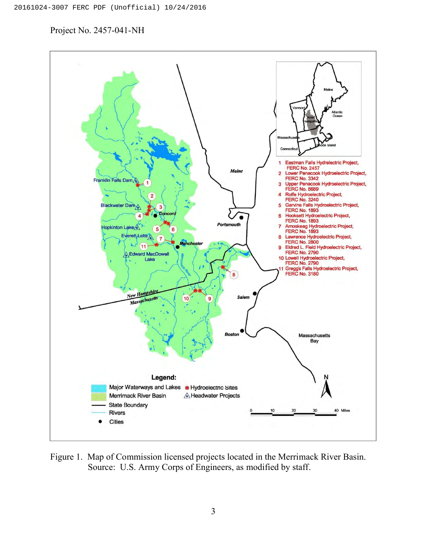

Figure 1. Map of Commission licensed projects located in the Merrimack River Basin. Source: U.S. Army Corps of Engineers, as modified by staff.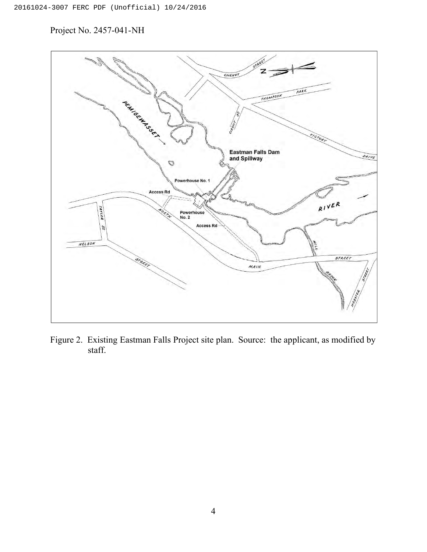

Figure 2. Existing Eastman Falls Project site plan. Source: the applicant, as modified by staff.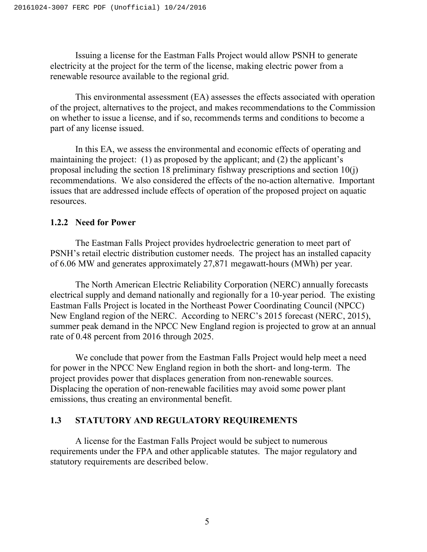Issuing a license for the Eastman Falls Project would allow PSNH to generate electricity at the project for the term of the license, making electric power from a renewable resource available to the regional grid.

This environmental assessment (EA) assesses the effects associated with operation of the project, alternatives to the project, and makes recommendations to the Commission on whether to issue a license, and if so, recommends terms and conditions to become a part of any license issued.

In this EA, we assess the environmental and economic effects of operating and maintaining the project: (1) as proposed by the applicant; and (2) the applicant's proposal including the section 18 preliminary fishway prescriptions and section 10(j) recommendations. We also considered the effects of the no-action alternative. Important issues that are addressed include effects of operation of the proposed project on aquatic resources.

## **1.2.2 Need for Power**

The Eastman Falls Project provides hydroelectric generation to meet part of PSNH's retail electric distribution customer needs. The project has an installed capacity of 6.06 MW and generates approximately 27,871 megawatt-hours (MWh) per year.

The North American Electric Reliability Corporation (NERC) annually forecasts electrical supply and demand nationally and regionally for a 10-year period. The existing Eastman Falls Project is located in the Northeast Power Coordinating Council (NPCC) New England region of the NERC. According to NERC's 2015 forecast (NERC, 2015), summer peak demand in the NPCC New England region is projected to grow at an annual rate of 0.48 percent from 2016 through 2025.

We conclude that power from the Eastman Falls Project would help meet a need for power in the NPCC New England region in both the short- and long-term. The project provides power that displaces generation from non-renewable sources. Displacing the operation of non-renewable facilities may avoid some power plant emissions, thus creating an environmental benefit.

## **1.3 STATUTORY AND REGULATORY REQUIREMENTS**

A license for the Eastman Falls Project would be subject to numerous requirements under the FPA and other applicable statutes. The major regulatory and statutory requirements are described below.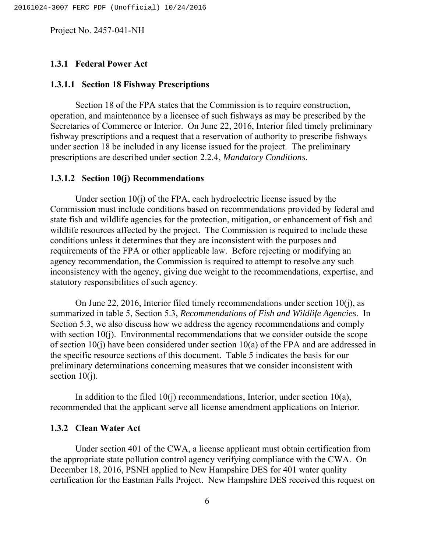## **1.3.1 Federal Power Act**

## **1.3.1.1 Section 18 Fishway Prescriptions**

Section 18 of the FPA states that the Commission is to require construction, operation, and maintenance by a licensee of such fishways as may be prescribed by the Secretaries of Commerce or Interior. On June 22, 2016, Interior filed timely preliminary fishway prescriptions and a request that a reservation of authority to prescribe fishways under section 18 be included in any license issued for the project. The preliminary prescriptions are described under section 2.2.4, *Mandatory Conditions*.

#### **1.3.1.2 Section 10(j) Recommendations**

Under section 10(j) of the FPA, each hydroelectric license issued by the Commission must include conditions based on recommendations provided by federal and state fish and wildlife agencies for the protection, mitigation, or enhancement of fish and wildlife resources affected by the project. The Commission is required to include these conditions unless it determines that they are inconsistent with the purposes and requirements of the FPA or other applicable law. Before rejecting or modifying an agency recommendation, the Commission is required to attempt to resolve any such inconsistency with the agency, giving due weight to the recommendations, expertise, and statutory responsibilities of such agency.

On June 22, 2016, Interior filed timely recommendations under section 10(j), as summarized in table 5, Section 5.3, *Recommendations of Fish and Wildlife Agencies*. In Section 5.3, we also discuss how we address the agency recommendations and comply with section 10(j). Environmental recommendations that we consider outside the scope of section  $10(i)$  have been considered under section  $10(a)$  of the FPA and are addressed in the specific resource sections of this document. Table 5 indicates the basis for our preliminary determinations concerning measures that we consider inconsistent with section 10(j).

In addition to the filed  $10(i)$  recommendations, Interior, under section  $10(a)$ , recommended that the applicant serve all license amendment applications on Interior.

### **1.3.2 Clean Water Act**

Under section 401 of the CWA, a license applicant must obtain certification from the appropriate state pollution control agency verifying compliance with the CWA. On December 18, 2016, PSNH applied to New Hampshire DES for 401 water quality certification for the Eastman Falls Project. New Hampshire DES received this request on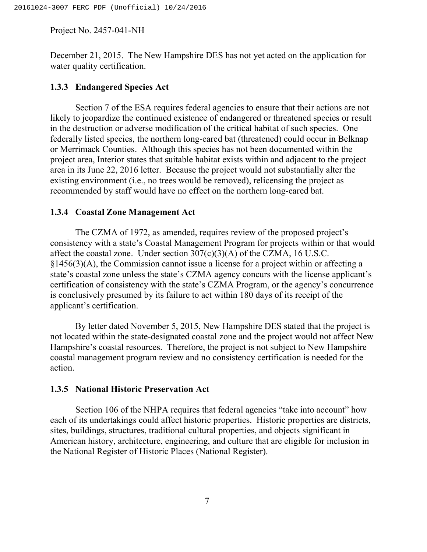December 21, 2015. The New Hampshire DES has not yet acted on the application for water quality certification.

#### **1.3.3 Endangered Species Act**

Section 7 of the ESA requires federal agencies to ensure that their actions are not likely to jeopardize the continued existence of endangered or threatened species or result in the destruction or adverse modification of the critical habitat of such species. One federally listed species, the northern long-eared bat (threatened) could occur in Belknap or Merrimack Counties. Although this species has not been documented within the project area, Interior states that suitable habitat exists within and adjacent to the project area in its June 22, 2016 letter. Because the project would not substantially alter the existing environment (i.e., no trees would be removed), relicensing the project as recommended by staff would have no effect on the northern long-eared bat.

#### **1.3.4 Coastal Zone Management Act**

The CZMA of 1972, as amended, requires review of the proposed project's consistency with a state's Coastal Management Program for projects within or that would affect the coastal zone. Under section  $307(c)(3)(A)$  of the CZMA, 16 U.S.C.  $§1456(3)(A)$ , the Commission cannot issue a license for a project within or affecting a state's coastal zone unless the state's CZMA agency concurs with the license applicant's certification of consistency with the state's CZMA Program, or the agency's concurrence is conclusively presumed by its failure to act within 180 days of its receipt of the applicant's certification.

By letter dated November 5, 2015, New Hampshire DES stated that the project is not located within the state-designated coastal zone and the project would not affect New Hampshire's coastal resources. Therefore, the project is not subject to New Hampshire coastal management program review and no consistency certification is needed for the action.

## **1.3.5 National Historic Preservation Act**

Section 106 of the NHPA requires that federal agencies "take into account" how each of its undertakings could affect historic properties. Historic properties are districts, sites, buildings, structures, traditional cultural properties, and objects significant in American history, architecture, engineering, and culture that are eligible for inclusion in the National Register of Historic Places (National Register).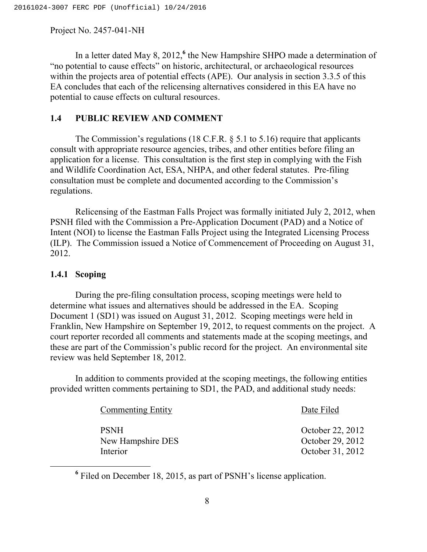In a letter dated May 8, 2012,**<sup>6</sup>** the New Hampshire SHPO made a determination of "no potential to cause effects" on historic, architectural, or archaeological resources within the projects area of potential effects (APE). Our analysis in section 3.3.5 of this EA concludes that each of the relicensing alternatives considered in this EA have no potential to cause effects on cultural resources.

## **1.4 PUBLIC REVIEW AND COMMENT**

The Commission's regulations (18 C.F.R. § 5.1 to 5.16) require that applicants consult with appropriate resource agencies, tribes, and other entities before filing an application for a license. This consultation is the first step in complying with the Fish and Wildlife Coordination Act, ESA, NHPA, and other federal statutes. Pre-filing consultation must be complete and documented according to the Commission's regulations.

Relicensing of the Eastman Falls Project was formally initiated July 2, 2012, when PSNH filed with the Commission a Pre-Application Document (PAD) and a Notice of Intent (NOI) to license the Eastman Falls Project using the Integrated Licensing Process (ILP). The Commission issued a Notice of Commencement of Proceeding on August 31, 2012.

## **1.4.1 Scoping**

During the pre-filing consultation process, scoping meetings were held to determine what issues and alternatives should be addressed in the EA. Scoping Document 1 (SD1) was issued on August 31, 2012. Scoping meetings were held in Franklin, New Hampshire on September 19, 2012, to request comments on the project. A court reporter recorded all comments and statements made at the scoping meetings, and these are part of the Commission's public record for the project. An environmental site review was held September 18, 2012.

In addition to comments provided at the scoping meetings, the following entities provided written comments pertaining to SD1, the PAD, and additional study needs:

| <b>Commenting Entity</b>      | Date Filed                           |  |
|-------------------------------|--------------------------------------|--|
| <b>PSNH</b>                   | October 22, 2012                     |  |
| New Hampshire DES<br>Interior | October 29, 2012<br>October 31, 2012 |  |

**<sup>6</sup>** Filed on December 18, 2015, as part of PSNH's license application.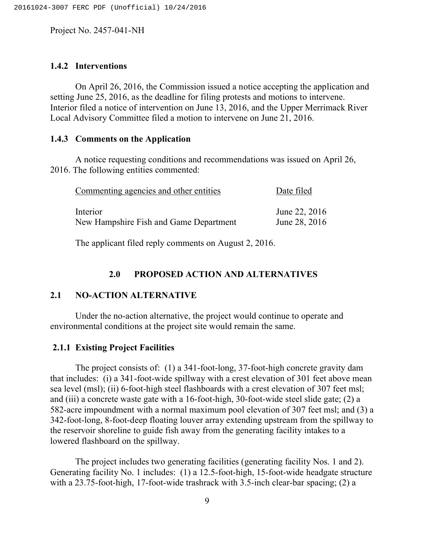## **1.4.2 Interventions**

On April 26, 2016, the Commission issued a notice accepting the application and setting June 25, 2016, as the deadline for filing protests and motions to intervene. Interior filed a notice of intervention on June 13, 2016, and the Upper Merrimack River Local Advisory Committee filed a motion to intervene on June 21, 2016.

## **1.4.3 Comments on the Application**

A notice requesting conditions and recommendations was issued on April 26, 2016. The following entities commented:

| Commenting agencies and other entities | Date filed    |  |  |
|----------------------------------------|---------------|--|--|
| Interior                               | June 22, 2016 |  |  |
| New Hampshire Fish and Game Department | June 28, 2016 |  |  |

The applicant filed reply comments on August 2, 2016.

## **2.0 PROPOSED ACTION AND ALTERNATIVES**

## **2.1 NO-ACTION ALTERNATIVE**

Under the no-action alternative, the project would continue to operate and environmental conditions at the project site would remain the same.

## **2.1.1 Existing Project Facilities**

The project consists of: (1) a 341-foot-long, 37-foot-high concrete gravity dam that includes: (i) a 341-foot-wide spillway with a crest elevation of 301 feet above mean sea level (msl); (ii) 6-foot-high steel flashboards with a crest elevation of 307 feet msl; and (iii) a concrete waste gate with a 16-foot-high, 30-foot-wide steel slide gate; (2) a 582-acre impoundment with a normal maximum pool elevation of 307 feet msl; and (3) a 342-foot-long, 8-foot-deep floating louver array extending upstream from the spillway to the reservoir shoreline to guide fish away from the generating facility intakes to a lowered flashboard on the spillway.

The project includes two generating facilities (generating facility Nos. 1 and 2). Generating facility No. 1 includes: (1) a 12.5-foot-high, 15-foot-wide headgate structure with a 23.75-foot-high, 17-foot-wide trashrack with 3.5-inch clear-bar spacing; (2) a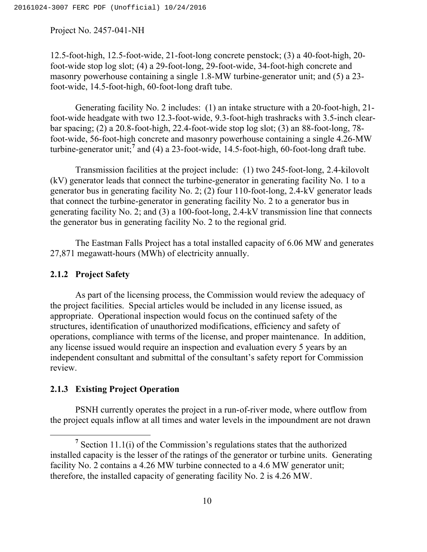12.5-foot-high, 12.5-foot-wide, 21-foot-long concrete penstock; (3) a 40-foot-high, 20 foot-wide stop log slot; (4) a 29-foot-long, 29-foot-wide, 34-foot-high concrete and masonry powerhouse containing a single 1.8-MW turbine-generator unit; and (5) a 23 foot-wide, 14.5-foot-high, 60-foot-long draft tube.

Generating facility No. 2 includes: (1) an intake structure with a 20-foot-high, 21 foot-wide headgate with two 12.3-foot-wide, 9.3-foot-high trashracks with 3.5-inch clearbar spacing; (2) a 20.8-foot-high, 22.4-foot-wide stop log slot; (3) an 88-foot-long, 78 foot-wide, 56-foot-high concrete and masonry powerhouse containing a single 4.26-MW turbine-generator unit;**<sup>7</sup>** and (4) a 23-foot-wide, 14.5-foot-high, 60-foot-long draft tube.

Transmission facilities at the project include: (1) two 245-foot-long, 2.4-kilovolt (kV) generator leads that connect the turbine-generator in generating facility No. 1 to a generator bus in generating facility No. 2; (2) four 110-foot-long, 2.4-kV generator leads that connect the turbine-generator in generating facility No. 2 to a generator bus in generating facility No. 2; and (3) a 100-foot-long, 2.4-kV transmission line that connects the generator bus in generating facility No. 2 to the regional grid.

The Eastman Falls Project has a total installed capacity of 6.06 MW and generates 27,871 megawatt-hours (MWh) of electricity annually.

## **2.1.2 Project Safety**

As part of the licensing process, the Commission would review the adequacy of the project facilities. Special articles would be included in any license issued, as appropriate. Operational inspection would focus on the continued safety of the structures, identification of unauthorized modifications, efficiency and safety of operations, compliance with terms of the license, and proper maintenance. In addition, any license issued would require an inspection and evaluation every 5 years by an independent consultant and submittal of the consultant's safety report for Commission review.

## **2.1.3 Existing Project Operation**

PSNH currently operates the project in a run-of-river mode, where outflow from the project equals inflow at all times and water levels in the impoundment are not drawn

<sup>&</sup>lt;sup>7</sup> Section 11.1(i) of the Commission's regulations states that the authorized installed capacity is the lesser of the ratings of the generator or turbine units. Generating facility No. 2 contains a 4.26 MW turbine connected to a 4.6 MW generator unit; therefore, the installed capacity of generating facility No. 2 is 4.26 MW.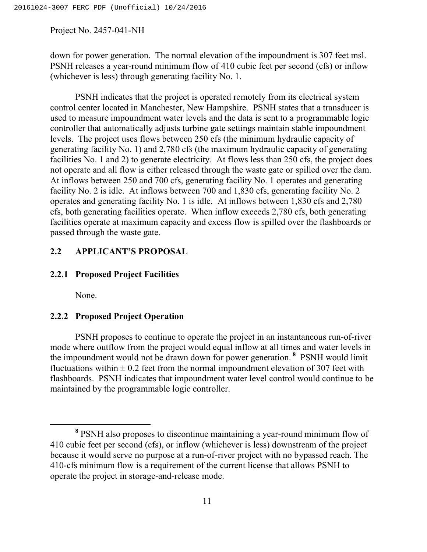down for power generation. The normal elevation of the impoundment is 307 feet msl. PSNH releases a year-round minimum flow of 410 cubic feet per second (cfs) or inflow (whichever is less) through generating facility No. 1.

PSNH indicates that the project is operated remotely from its electrical system control center located in Manchester, New Hampshire. PSNH states that a transducer is used to measure impoundment water levels and the data is sent to a programmable logic controller that automatically adjusts turbine gate settings maintain stable impoundment levels. The project uses flows between 250 cfs (the minimum hydraulic capacity of generating facility No. 1) and 2,780 cfs (the maximum hydraulic capacity of generating facilities No. 1 and 2) to generate electricity. At flows less than 250 cfs, the project does not operate and all flow is either released through the waste gate or spilled over the dam. At inflows between 250 and 700 cfs, generating facility No. 1 operates and generating facility No. 2 is idle. At inflows between 700 and 1,830 cfs, generating facility No. 2 operates and generating facility No. 1 is idle. At inflows between 1,830 cfs and 2,780 cfs, both generating facilities operate. When inflow exceeds 2,780 cfs, both generating facilities operate at maximum capacity and excess flow is spilled over the flashboards or passed through the waste gate.

## **2.2 APPLICANT'S PROPOSAL**

## **2.2.1 Proposed Project Facilities**

None.

## **2.2.2 Proposed Project Operation**

PSNH proposes to continue to operate the project in an instantaneous run-of-river mode where outflow from the project would equal inflow at all times and water levels in the impoundment would not be drawn down for power generation. **<sup>8</sup>** PSNH would limit fluctuations within  $\pm$  0.2 feet from the normal impoundment elevation of 307 feet with flashboards. PSNH indicates that impoundment water level control would continue to be maintained by the programmable logic controller.

**<sup>8</sup>** PSNH also proposes to discontinue maintaining a year-round minimum flow of 410 cubic feet per second (cfs), or inflow (whichever is less) downstream of the project because it would serve no purpose at a run-of-river project with no bypassed reach. The 410-cfs minimum flow is a requirement of the current license that allows PSNH to operate the project in storage-and-release mode.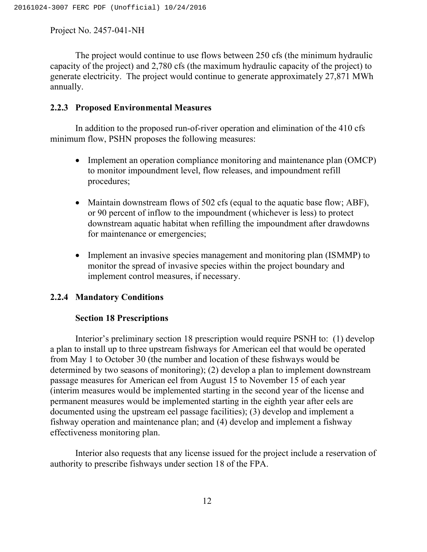The project would continue to use flows between 250 cfs (the minimum hydraulic capacity of the project) and 2,780 cfs (the maximum hydraulic capacity of the project) to generate electricity. The project would continue to generate approximately 27,871 MWh annually.

## **2.2.3 Proposed Environmental Measures**

In addition to the proposed run-of-river operation and elimination of the 410 cfs minimum flow, PSHN proposes the following measures:

- Implement an operation compliance monitoring and maintenance plan (OMCP) to monitor impoundment level, flow releases, and impoundment refill procedures;
- Maintain downstream flows of 502 cfs (equal to the aquatic base flow; ABF), or 90 percent of inflow to the impoundment (whichever is less) to protect downstream aquatic habitat when refilling the impoundment after drawdowns for maintenance or emergencies;
- Implement an invasive species management and monitoring plan (ISMMP) to monitor the spread of invasive species within the project boundary and implement control measures, if necessary.

## **2.2.4 Mandatory Conditions**

## **Section 18 Prescriptions**

Interior's preliminary section 18 prescription would require PSNH to: (1) develop a plan to install up to three upstream fishways for American eel that would be operated from May 1 to October 30 (the number and location of these fishways would be determined by two seasons of monitoring); (2) develop a plan to implement downstream passage measures for American eel from August 15 to November 15 of each year (interim measures would be implemented starting in the second year of the license and permanent measures would be implemented starting in the eighth year after eels are documented using the upstream eel passage facilities); (3) develop and implement a fishway operation and maintenance plan; and (4) develop and implement a fishway effectiveness monitoring plan.

Interior also requests that any license issued for the project include a reservation of authority to prescribe fishways under section 18 of the FPA.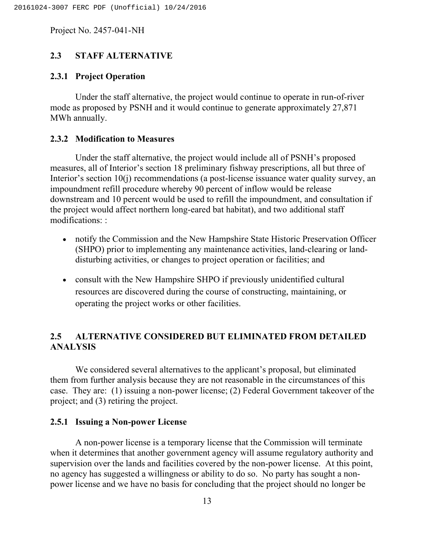## **2.3 STAFF ALTERNATIVE**

## **2.3.1 Project Operation**

Under the staff alternative, the project would continue to operate in run-of-river mode as proposed by PSNH and it would continue to generate approximately 27,871 MWh annually.

## **2.3.2 Modification to Measures**

Under the staff alternative, the project would include all of PSNH's proposed measures, all of Interior's section 18 preliminary fishway prescriptions, all but three of Interior's section 10(j) recommendations (a post-license issuance water quality survey, an impoundment refill procedure whereby 90 percent of inflow would be release downstream and 10 percent would be used to refill the impoundment, and consultation if the project would affect northern long-eared bat habitat), and two additional staff modifications: :

- notify the Commission and the New Hampshire State Historic Preservation Officer (SHPO) prior to implementing any maintenance activities, land-clearing or landdisturbing activities, or changes to project operation or facilities; and
- consult with the New Hampshire SHPO if previously unidentified cultural resources are discovered during the course of constructing, maintaining, or operating the project works or other facilities.

# **2.5 ALTERNATIVE CONSIDERED BUT ELIMINATED FROM DETAILED ANALYSIS**

We considered several alternatives to the applicant's proposal, but eliminated them from further analysis because they are not reasonable in the circumstances of this case. They are: (1) issuing a non-power license; (2) Federal Government takeover of the project; and (3) retiring the project.

## **2.5.1 Issuing a Non-power License**

A non-power license is a temporary license that the Commission will terminate when it determines that another government agency will assume regulatory authority and supervision over the lands and facilities covered by the non-power license. At this point, no agency has suggested a willingness or ability to do so. No party has sought a nonpower license and we have no basis for concluding that the project should no longer be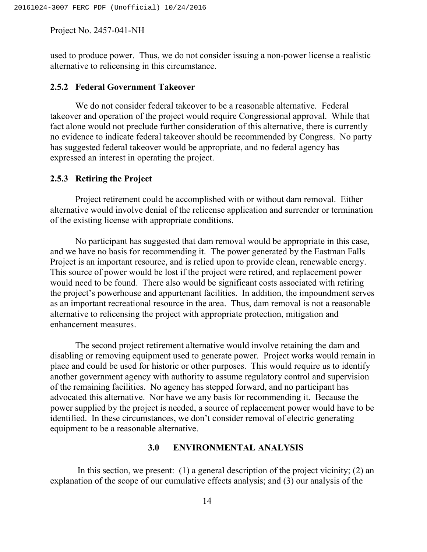used to produce power. Thus, we do not consider issuing a non-power license a realistic alternative to relicensing in this circumstance.

## **2.5.2 Federal Government Takeover**

We do not consider federal takeover to be a reasonable alternative. Federal takeover and operation of the project would require Congressional approval. While that fact alone would not preclude further consideration of this alternative, there is currently no evidence to indicate federal takeover should be recommended by Congress. No party has suggested federal takeover would be appropriate, and no federal agency has expressed an interest in operating the project.

#### **2.5.3 Retiring the Project**

Project retirement could be accomplished with or without dam removal. Either alternative would involve denial of the relicense application and surrender or termination of the existing license with appropriate conditions.

No participant has suggested that dam removal would be appropriate in this case, and we have no basis for recommending it. The power generated by the Eastman Falls Project is an important resource, and is relied upon to provide clean, renewable energy. This source of power would be lost if the project were retired, and replacement power would need to be found. There also would be significant costs associated with retiring the project's powerhouse and appurtenant facilities. In addition, the impoundment serves as an important recreational resource in the area. Thus, dam removal is not a reasonable alternative to relicensing the project with appropriate protection, mitigation and enhancement measures.

The second project retirement alternative would involve retaining the dam and disabling or removing equipment used to generate power. Project works would remain in place and could be used for historic or other purposes. This would require us to identify another government agency with authority to assume regulatory control and supervision of the remaining facilities. No agency has stepped forward, and no participant has advocated this alternative. Nor have we any basis for recommending it. Because the power supplied by the project is needed, a source of replacement power would have to be identified. In these circumstances, we don't consider removal of electric generating equipment to be a reasonable alternative.

#### **3.0 ENVIRONMENTAL ANALYSIS**

In this section, we present: (1) a general description of the project vicinity; (2) an explanation of the scope of our cumulative effects analysis; and (3) our analysis of the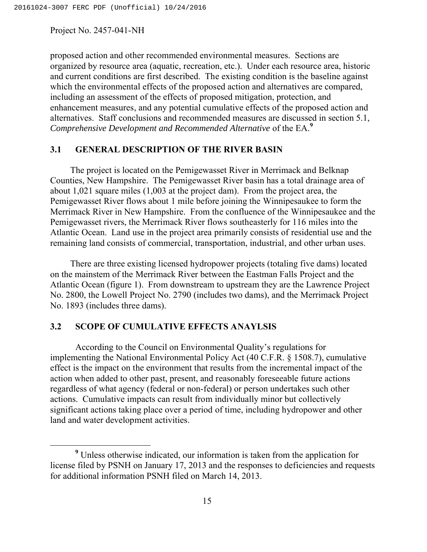proposed action and other recommended environmental measures. Sections are organized by resource area (aquatic, recreation, etc.). Under each resource area, historic and current conditions are first described. The existing condition is the baseline against which the environmental effects of the proposed action and alternatives are compared, including an assessment of the effects of proposed mitigation, protection, and enhancement measures, and any potential cumulative effects of the proposed action and alternatives. Staff conclusions and recommended measures are discussed in section 5.1, *Comprehensive Development and Recommended Alternative* of the EA.**<sup>9</sup>**

## **3.1 GENERAL DESCRIPTION OF THE RIVER BASIN**

The project is located on the Pemigewasset River in Merrimack and Belknap Counties, New Hampshire. The Pemigewasset River basin has a total drainage area of about 1,021 square miles (1,003 at the project dam). From the project area, the Pemigewasset River flows about 1 mile before joining the Winnipesaukee to form the Merrimack River in New Hampshire. From the confluence of the Winnipesaukee and the Pemigewasset rivers, the Merrimack River flows southeasterly for 116 miles into the Atlantic Ocean. Land use in the project area primarily consists of residential use and the remaining land consists of commercial, transportation, industrial, and other urban uses.

There are three existing licensed hydropower projects (totaling five dams) located on the mainstem of the Merrimack River between the Eastman Falls Project and the Atlantic Ocean (figure 1). From downstream to upstream they are the Lawrence Project No. 2800, the Lowell Project No. 2790 (includes two dams), and the Merrimack Project No. 1893 (includes three dams).

## **3.2 SCOPE OF CUMULATIVE EFFECTS ANAYLSIS**

According to the Council on Environmental Quality's regulations for implementing the National Environmental Policy Act (40 C.F.R. § 1508.7), cumulative effect is the impact on the environment that results from the incremental impact of the action when added to other past, present, and reasonably foreseeable future actions regardless of what agency (federal or non-federal) or person undertakes such other actions. Cumulative impacts can result from individually minor but collectively significant actions taking place over a period of time, including hydropower and other land and water development activities.

**<sup>9</sup>** Unless otherwise indicated, our information is taken from the application for license filed by PSNH on January 17, 2013 and the responses to deficiencies and requests for additional information PSNH filed on March 14, 2013.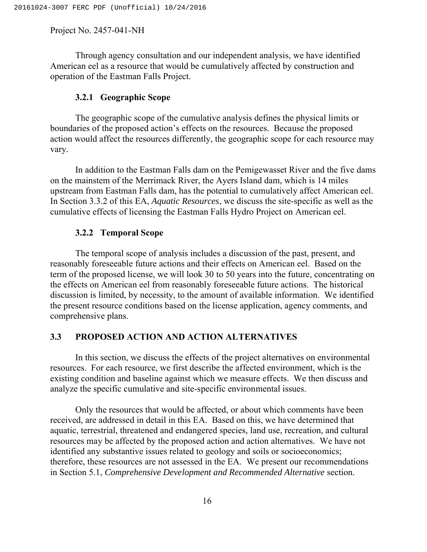Through agency consultation and our independent analysis, we have identified American eel as a resource that would be cumulatively affected by construction and operation of the Eastman Falls Project.

## **3.2.1 Geographic Scope**

The geographic scope of the cumulative analysis defines the physical limits or boundaries of the proposed action's effects on the resources. Because the proposed action would affect the resources differently, the geographic scope for each resource may vary.

In addition to the Eastman Falls dam on the Pemigewasset River and the five dams on the mainstem of the Merrimack River, the Ayers Island dam, which is 14 miles upstream from Eastman Falls dam, has the potential to cumulatively affect American eel. In Section 3.3.2 of this EA, *Aquatic Resources*, we discuss the site-specific as well as the cumulative effects of licensing the Eastman Falls Hydro Project on American eel.

#### **3.2.2 Temporal Scope**

The temporal scope of analysis includes a discussion of the past, present, and reasonably foreseeable future actions and their effects on American eel. Based on the term of the proposed license, we will look 30 to 50 years into the future, concentrating on the effects on American eel from reasonably foreseeable future actions. The historical discussion is limited, by necessity, to the amount of available information. We identified the present resource conditions based on the license application, agency comments, and comprehensive plans.

## **3.3 PROPOSED ACTION AND ACTION ALTERNATIVES**

In this section, we discuss the effects of the project alternatives on environmental resources. For each resource, we first describe the affected environment, which is the existing condition and baseline against which we measure effects. We then discuss and analyze the specific cumulative and site-specific environmental issues.

Only the resources that would be affected, or about which comments have been received, are addressed in detail in this EA. Based on this, we have determined that aquatic, terrestrial, threatened and endangered species, land use, recreation, and cultural resources may be affected by the proposed action and action alternatives. We have not identified any substantive issues related to geology and soils or socioeconomics; therefore, these resources are not assessed in the EA. We present our recommendations in Section 5.1, *Comprehensive Development and Recommended Alternative* section.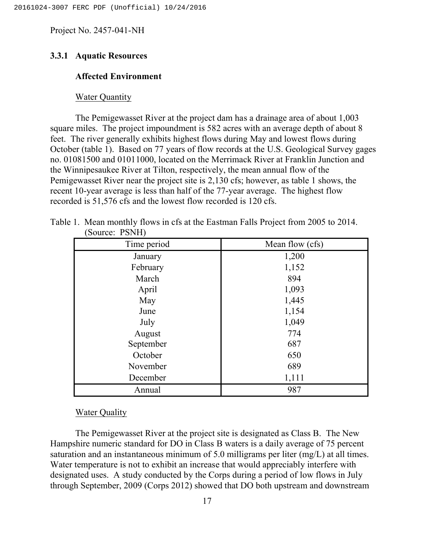## **3.3.1 Aquatic Resources**

## **Affected Environment**

#### Water Quantity

The Pemigewasset River at the project dam has a drainage area of about 1,003 square miles. The project impoundment is 582 acres with an average depth of about 8 feet. The river generally exhibits highest flows during May and lowest flows during October (table 1). Based on 77 years of flow records at the U.S. Geological Survey gages no. 01081500 and 01011000, located on the Merrimack River at Franklin Junction and the Winnipesaukee River at Tilton, respectively, the mean annual flow of the Pemigewasset River near the project site is 2,130 cfs; however, as table 1 shows, the recent 10-year average is less than half of the 77-year average. The highest flow recorded is 51,576 cfs and the lowest flow recorded is 120 cfs.

| Time period | Mean flow (cfs) |
|-------------|-----------------|
| January     | 1,200           |
| February    | 1,152           |
| March       | 894             |
| April       | 1,093           |
| May         | 1,445           |
| June        | 1,154           |
| July        | 1,049           |
| August      | 774             |
| September   | 687             |
| October     | 650             |
| November    | 689             |
| December    | 1,111           |
| Annual      | 987             |

Table 1. Mean monthly flows in cfs at the Eastman Falls Project from 2005 to 2014. (Source: PSNH)

## Water Quality

The Pemigewasset River at the project site is designated as Class B. The New Hampshire numeric standard for DO in Class B waters is a daily average of 75 percent saturation and an instantaneous minimum of 5.0 milligrams per liter (mg/L) at all times. Water temperature is not to exhibit an increase that would appreciably interfere with designated uses. A study conducted by the Corps during a period of low flows in July through September, 2009 (Corps 2012) showed that DO both upstream and downstream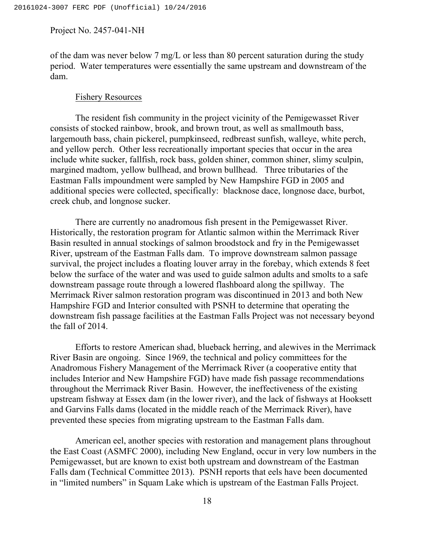of the dam was never below 7 mg/L or less than 80 percent saturation during the study period. Water temperatures were essentially the same upstream and downstream of the dam.

## Fishery Resources

The resident fish community in the project vicinity of the Pemigewasset River consists of stocked rainbow, brook, and brown trout, as well as smallmouth bass, largemouth bass, chain pickerel, pumpkinseed, redbreast sunfish, walleye, white perch, and yellow perch. Other less recreationally important species that occur in the area include white sucker, fallfish, rock bass, golden shiner, common shiner, slimy sculpin, margined madtom, yellow bullhead, and brown bullhead. Three tributaries of the Eastman Falls impoundment were sampled by New Hampshire FGD in 2005 and additional species were collected, specifically: blacknose dace, longnose dace, burbot, creek chub, and longnose sucker.

There are currently no anadromous fish present in the Pemigewasset River. Historically, the restoration program for Atlantic salmon within the Merrimack River Basin resulted in annual stockings of salmon broodstock and fry in the Pemigewasset River, upstream of the Eastman Falls dam. To improve downstream salmon passage survival, the project includes a floating louver array in the forebay, which extends 8 feet below the surface of the water and was used to guide salmon adults and smolts to a safe downstream passage route through a lowered flashboard along the spillway. The Merrimack River salmon restoration program was discontinued in 2013 and both New Hampshire FGD and Interior consulted with PSNH to determine that operating the downstream fish passage facilities at the Eastman Falls Project was not necessary beyond the fall of 2014.

Efforts to restore American shad, blueback herring, and alewives in the Merrimack River Basin are ongoing. Since 1969, the technical and policy committees for the Anadromous Fishery Management of the Merrimack River (a cooperative entity that includes Interior and New Hampshire FGD) have made fish passage recommendations throughout the Merrimack River Basin. However, the ineffectiveness of the existing upstream fishway at Essex dam (in the lower river), and the lack of fishways at Hooksett and Garvins Falls dams (located in the middle reach of the Merrimack River), have prevented these species from migrating upstream to the Eastman Falls dam.

American eel, another species with restoration and management plans throughout the East Coast (ASMFC 2000), including New England, occur in very low numbers in the Pemigewasset, but are known to exist both upstream and downstream of the Eastman Falls dam (Technical Committee 2013). PSNH reports that eels have been documented in "limited numbers" in Squam Lake which is upstream of the Eastman Falls Project.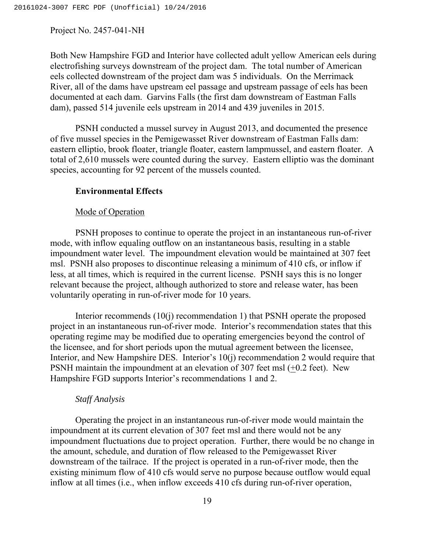Both New Hampshire FGD and Interior have collected adult yellow American eels during electrofishing surveys downstream of the project dam. The total number of American eels collected downstream of the project dam was 5 individuals. On the Merrimack River, all of the dams have upstream eel passage and upstream passage of eels has been documented at each dam. Garvins Falls (the first dam downstream of Eastman Falls dam), passed 514 juvenile eels upstream in 2014 and 439 juveniles in 2015.

PSNH conducted a mussel survey in August 2013, and documented the presence of five mussel species in the Pemigewasset River downstream of Eastman Falls dam: eastern elliptio, brook floater, triangle floater, eastern lampmussel, and eastern floater. A total of 2,610 mussels were counted during the survey. Eastern elliptio was the dominant species, accounting for 92 percent of the mussels counted.

## **Environmental Effects**

## Mode of Operation

PSNH proposes to continue to operate the project in an instantaneous run-of-river mode, with inflow equaling outflow on an instantaneous basis, resulting in a stable impoundment water level. The impoundment elevation would be maintained at 307 feet msl. PSNH also proposes to discontinue releasing a minimum of 410 cfs, or inflow if less, at all times, which is required in the current license. PSNH says this is no longer relevant because the project, although authorized to store and release water, has been voluntarily operating in run-of-river mode for 10 years.

Interior recommends (10(j) recommendation 1) that PSNH operate the proposed project in an instantaneous run-of-river mode. Interior's recommendation states that this operating regime may be modified due to operating emergencies beyond the control of the licensee, and for short periods upon the mutual agreement between the licensee, Interior, and New Hampshire DES. Interior's 10(j) recommendation 2 would require that PSNH maintain the impoundment at an elevation of 307 feet msl (+0.2 feet). New Hampshire FGD supports Interior's recommendations 1 and 2.

## *Staff Analysis*

Operating the project in an instantaneous run-of-river mode would maintain the impoundment at its current elevation of 307 feet msl and there would not be any impoundment fluctuations due to project operation. Further, there would be no change in the amount, schedule, and duration of flow released to the Pemigewasset River downstream of the tailrace. If the project is operated in a run-of-river mode, then the existing minimum flow of 410 cfs would serve no purpose because outflow would equal inflow at all times (i.e., when inflow exceeds 410 cfs during run-of-river operation,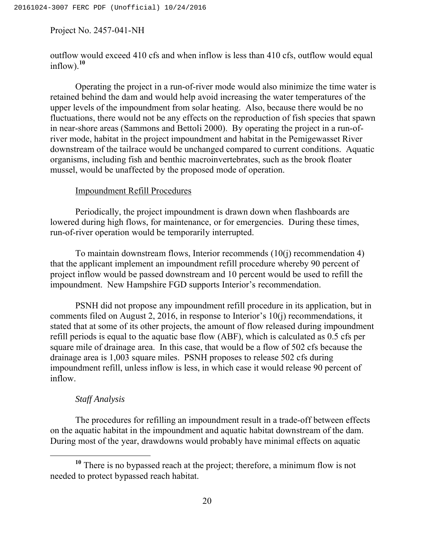outflow would exceed 410 cfs and when inflow is less than 410 cfs, outflow would equal  $inflow$ ).<sup>10</sup>

Operating the project in a run-of-river mode would also minimize the time water is retained behind the dam and would help avoid increasing the water temperatures of the upper levels of the impoundment from solar heating. Also, because there would be no fluctuations, there would not be any effects on the reproduction of fish species that spawn in near-shore areas (Sammons and Bettoli 2000). By operating the project in a run-ofriver mode, habitat in the project impoundment and habitat in the Pemigewasset River downstream of the tailrace would be unchanged compared to current conditions. Aquatic organisms, including fish and benthic macroinvertebrates, such as the brook floater mussel, would be unaffected by the proposed mode of operation.

#### Impoundment Refill Procedures

Periodically, the project impoundment is drawn down when flashboards are lowered during high flows, for maintenance, or for emergencies. During these times, run-of-river operation would be temporarily interrupted.

To maintain downstream flows, Interior recommends (10(j) recommendation 4) that the applicant implement an impoundment refill procedure whereby 90 percent of project inflow would be passed downstream and 10 percent would be used to refill the impoundment. New Hampshire FGD supports Interior's recommendation.

PSNH did not propose any impoundment refill procedure in its application, but in comments filed on August 2, 2016, in response to Interior's 10(j) recommendations, it stated that at some of its other projects, the amount of flow released during impoundment refill periods is equal to the aquatic base flow (ABF), which is calculated as 0.5 cfs per square mile of drainage area. In this case, that would be a flow of 502 cfs because the drainage area is 1,003 square miles. PSNH proposes to release 502 cfs during impoundment refill, unless inflow is less, in which case it would release 90 percent of inflow.

## *Staff Analysis*

The procedures for refilling an impoundment result in a trade-off between effects on the aquatic habitat in the impoundment and aquatic habitat downstream of the dam. During most of the year, drawdowns would probably have minimal effects on aquatic

**<sup>10</sup>** There is no bypassed reach at the project; therefore, a minimum flow is not needed to protect bypassed reach habitat.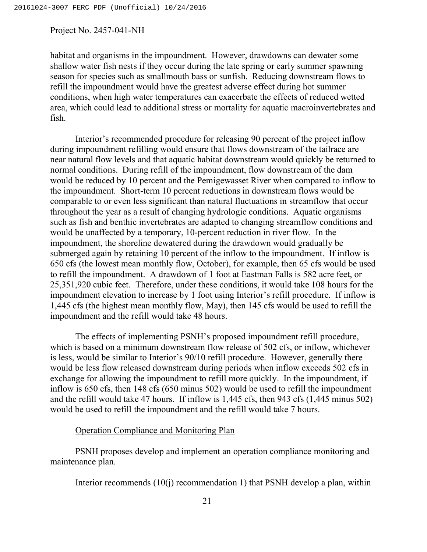habitat and organisms in the impoundment. However, drawdowns can dewater some shallow water fish nests if they occur during the late spring or early summer spawning season for species such as smallmouth bass or sunfish. Reducing downstream flows to refill the impoundment would have the greatest adverse effect during hot summer conditions, when high water temperatures can exacerbate the effects of reduced wetted area, which could lead to additional stress or mortality for aquatic macroinvertebrates and fish.

Interior's recommended procedure for releasing 90 percent of the project inflow during impoundment refilling would ensure that flows downstream of the tailrace are near natural flow levels and that aquatic habitat downstream would quickly be returned to normal conditions. During refill of the impoundment, flow downstream of the dam would be reduced by 10 percent and the Pemigewasset River when compared to inflow to the impoundment. Short-term 10 percent reductions in downstream flows would be comparable to or even less significant than natural fluctuations in streamflow that occur throughout the year as a result of changing hydrologic conditions. Aquatic organisms such as fish and benthic invertebrates are adapted to changing streamflow conditions and would be unaffected by a temporary, 10-percent reduction in river flow. In the impoundment, the shoreline dewatered during the drawdown would gradually be submerged again by retaining 10 percent of the inflow to the impoundment. If inflow is 650 cfs (the lowest mean monthly flow, October), for example, then 65 cfs would be used to refill the impoundment. A drawdown of 1 foot at Eastman Falls is 582 acre feet, or 25,351,920 cubic feet. Therefore, under these conditions, it would take 108 hours for the impoundment elevation to increase by 1 foot using Interior's refill procedure. If inflow is 1,445 cfs (the highest mean monthly flow, May), then 145 cfs would be used to refill the impoundment and the refill would take 48 hours.

The effects of implementing PSNH's proposed impoundment refill procedure, which is based on a minimum downstream flow release of 502 cfs, or inflow, whichever is less, would be similar to Interior's 90/10 refill procedure. However, generally there would be less flow released downstream during periods when inflow exceeds 502 cfs in exchange for allowing the impoundment to refill more quickly. In the impoundment, if inflow is 650 cfs, then 148 cfs (650 minus 502) would be used to refill the impoundment and the refill would take 47 hours. If inflow is 1,445 cfs, then 943 cfs (1,445 minus 502) would be used to refill the impoundment and the refill would take 7 hours.

## Operation Compliance and Monitoring Plan

PSNH proposes develop and implement an operation compliance monitoring and maintenance plan.

Interior recommends (10(j) recommendation 1) that PSNH develop a plan, within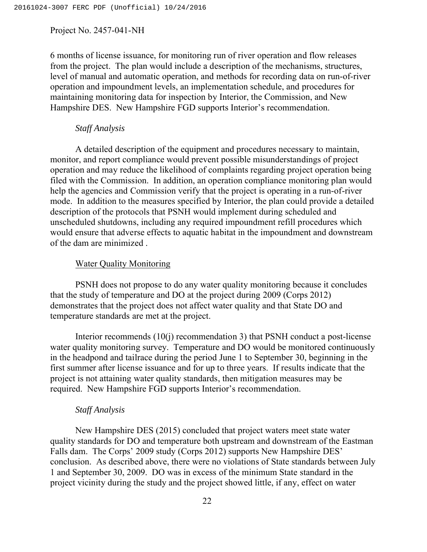6 months of license issuance, for monitoring run of river operation and flow releases from the project. The plan would include a description of the mechanisms, structures, level of manual and automatic operation, and methods for recording data on run-of-river operation and impoundment levels, an implementation schedule, and procedures for maintaining monitoring data for inspection by Interior, the Commission, and New Hampshire DES. New Hampshire FGD supports Interior's recommendation.

## *Staff Analysis*

A detailed description of the equipment and procedures necessary to maintain, monitor, and report compliance would prevent possible misunderstandings of project operation and may reduce the likelihood of complaints regarding project operation being filed with the Commission. In addition, an operation compliance monitoring plan would help the agencies and Commission verify that the project is operating in a run-of-river mode. In addition to the measures specified by Interior, the plan could provide a detailed description of the protocols that PSNH would implement during scheduled and unscheduled shutdowns, including any required impoundment refill procedures which would ensure that adverse effects to aquatic habitat in the impoundment and downstream of the dam are minimized .

#### Water Quality Monitoring

PSNH does not propose to do any water quality monitoring because it concludes that the study of temperature and DO at the project during 2009 (Corps 2012) demonstrates that the project does not affect water quality and that State DO and temperature standards are met at the project.

Interior recommends (10(j) recommendation 3) that PSNH conduct a post-license water quality monitoring survey. Temperature and DO would be monitored continuously in the headpond and tailrace during the period June 1 to September 30, beginning in the first summer after license issuance and for up to three years. If results indicate that the project is not attaining water quality standards, then mitigation measures may be required. New Hampshire FGD supports Interior's recommendation.

#### *Staff Analysis*

New Hampshire DES (2015) concluded that project waters meet state water quality standards for DO and temperature both upstream and downstream of the Eastman Falls dam. The Corps' 2009 study (Corps 2012) supports New Hampshire DES' conclusion. As described above, there were no violations of State standards between July 1 and September 30, 2009. DO was in excess of the minimum State standard in the project vicinity during the study and the project showed little, if any, effect on water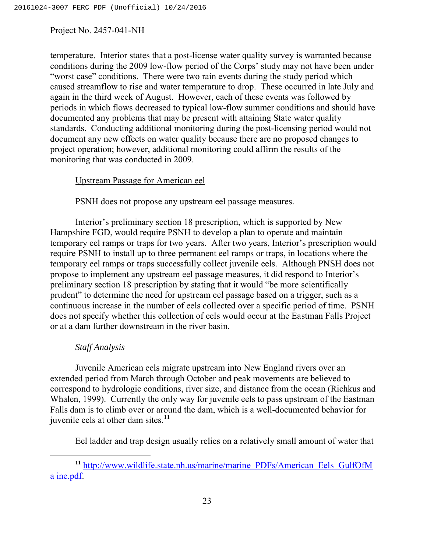temperature. Interior states that a post-license water quality survey is warranted because conditions during the 2009 low-flow period of the Corps' study may not have been under "worst case" conditions. There were two rain events during the study period which caused streamflow to rise and water temperature to drop. These occurred in late July and again in the third week of August. However, each of these events was followed by periods in which flows decreased to typical low-flow summer conditions and should have documented any problems that may be present with attaining State water quality standards. Conducting additional monitoring during the post-licensing period would not document any new effects on water quality because there are no proposed changes to project operation; however, additional monitoring could affirm the results of the monitoring that was conducted in 2009.

## Upstream Passage for American eel

PSNH does not propose any upstream eel passage measures.

Interior's preliminary section 18 prescription, which is supported by New Hampshire FGD, would require PSNH to develop a plan to operate and maintain temporary eel ramps or traps for two years. After two years, Interior's prescription would require PSNH to install up to three permanent eel ramps or traps, in locations where the temporary eel ramps or traps successfully collect juvenile eels. Although PNSH does not propose to implement any upstream eel passage measures, it did respond to Interior's preliminary section 18 prescription by stating that it would "be more scientifically prudent" to determine the need for upstream eel passage based on a trigger, such as a continuous increase in the number of eels collected over a specific period of time. PSNH does not specify whether this collection of eels would occur at the Eastman Falls Project or at a dam further downstream in the river basin.

## *Staff Analysis*

-

Juvenile American eels migrate upstream into New England rivers over an extended period from March through October and peak movements are believed to correspond to hydrologic conditions, river size, and distance from the ocean (Richkus and Whalen, 1999). Currently the only way for juvenile eels to pass upstream of the Eastman Falls dam is to climb over or around the dam, which is a well-documented behavior for juvenile eels at other dam sites.**<sup>11</sup>**

Eel ladder and trap design usually relies on a relatively small amount of water that

<sup>11</sup> http://www.wildlife.state.nh.us/marine/marine\_PDFs/American\_Eels\_GulfOfM a ine.pdf.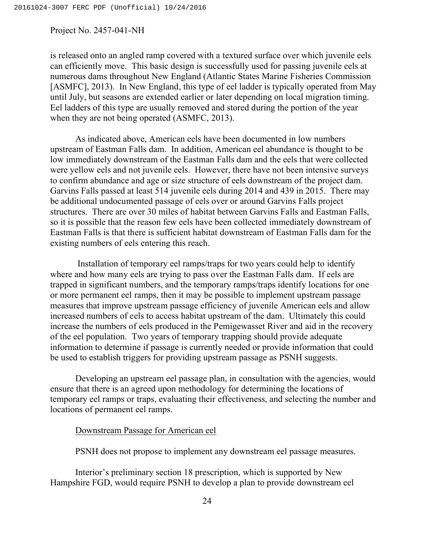is released onto an angled ramp covered with a textured surface over which juvenile eels can efficiently move. This basic design is successfully used for passing juvenile eels at numerous dams throughout New England (Atlantic States Marine Fisheries Commission [ASMFC], 2013). In New England, this type of eel ladder is typically operated from May until July, but seasons are extended earlier or later depending on local migration timing. Eel ladders of this type are usually removed and stored during the portion of the year when they are not being operated (ASMFC, 2013).

As indicated above, American eels have been documented in low numbers upstream of Eastman Falls dam. In addition, American eel abundance is thought to be low immediately downstream of the Eastman Falls dam and the eels that were collected were yellow eels and not juvenile eels. However, there have not been intensive surveys to confirm abundance and age or size structure of eels downstream of the project dam. Garvins Falls passed at least 514 juvenile eels during 2014 and 439 in 2015. There may be additional undocumented passage of eels over or around Garvins Falls project structures. There are over 30 miles of habitat between Garvins Falls and Eastman Falls, so it is possible that the reason few eels have been collected immediately downstream of Eastman Falls is that there is sufficient habitat downstream of Eastman Falls dam for the existing numbers of eels entering this reach.

Installation of temporary eel ramps/traps for two years could help to identify where and how many eels are trying to pass over the Eastman Falls dam. If eels are trapped in significant numbers, and the temporary ramps/traps identify locations for one or more permanent eel ramps, then it may be possible to implement upstream passage measures that improve upstream passage efficiency of juvenile American eels and allow increased numbers of eels to access habitat upstream of the dam. Ultimately this could increase the numbers of eels produced in the Pemigewasset River and aid in the recovery of the eel population. Two years of temporary trapping should provide adequate information to determine if passage is currently needed or provide information that could be used to establish triggers for providing upstream passage as PSNH suggests.

Developing an upstream eel passage plan, in consultation with the agencies, would ensure that there is an agreed upon methodology for determining the locations of temporary eel ramps or traps, evaluating their effectiveness, and selecting the number and locations of permanent eel ramps.

## Downstream Passage for American eel

PSNH does not propose to implement any downstream eel passage measures.

Interior's preliminary section 18 prescription, which is supported by New Hampshire FGD, would require PSNH to develop a plan to provide downstream eel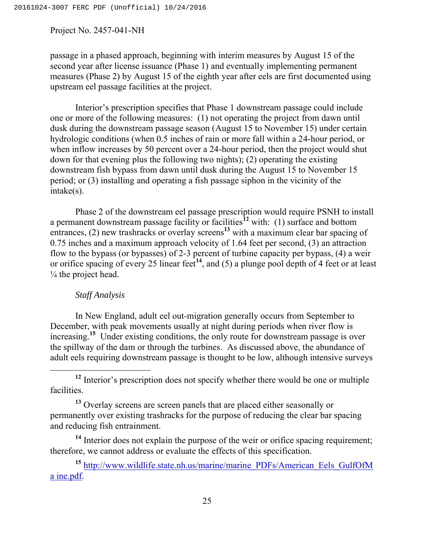passage in a phased approach, beginning with interim measures by August 15 of the second year after license issuance (Phase 1) and eventually implementing permanent measures (Phase 2) by August 15 of the eighth year after eels are first documented using upstream eel passage facilities at the project.

Interior's prescription specifies that Phase 1 downstream passage could include one or more of the following measures: (1) not operating the project from dawn until dusk during the downstream passage season (August 15 to November 15) under certain hydrologic conditions (when 0.5 inches of rain or more fall within a 24-hour period, or when inflow increases by 50 percent over a 24-hour period, then the project would shut down for that evening plus the following two nights); (2) operating the existing downstream fish bypass from dawn until dusk during the August 15 to November 15 period; or (3) installing and operating a fish passage siphon in the vicinity of the intake(s).

Phase 2 of the downstream eel passage prescription would require PSNH to install a permanent downstream passage facility or facilities**<sup>12</sup>** with: (1) surface and bottom entrances, (2) new trashracks or overlay screens<sup>13</sup> with a maximum clear bar spacing of 0.75 inches and a maximum approach velocity of 1.64 feet per second, (3) an attraction flow to the bypass (or bypasses) of 2-3 percent of turbine capacity per bypass, (4) a weir or orifice spacing of every 25 linear feet**<sup>14</sup>**, and (5) a plunge pool depth of 4 feet or at least  $\frac{1}{4}$  the project head.

## *Staff Analysis*

In New England, adult eel out-migration generally occurs from September to December, with peak movements usually at night during periods when river flow is increasing.**<sup>15</sup>** Under existing conditions, the only route for downstream passage is over the spillway of the dam or through the turbines. As discussed above, the abundance of adult eels requiring downstream passage is thought to be low, although intensive surveys

<sup>14</sup> Interior does not explain the purpose of the weir or orifice spacing requirement; therefore, we cannot address or evaluate the effects of this specification.

<sup>15</sup> http://www.wildlife.state.nh.us/marine/marine\_PDFs/American\_Eels\_GulfOfM a ine.pdf.

<sup>&</sup>lt;sup>12</sup> Interior's prescription does not specify whether there would be one or multiple facilities.

<sup>&</sup>lt;sup>13</sup> Overlay screens are screen panels that are placed either seasonally or permanently over existing trashracks for the purpose of reducing the clear bar spacing and reducing fish entrainment.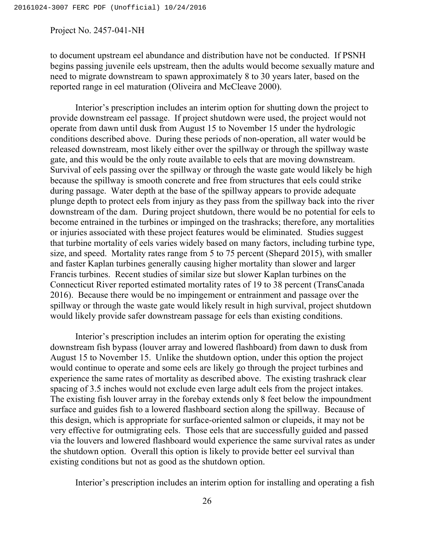to document upstream eel abundance and distribution have not be conducted. If PSNH begins passing juvenile eels upstream, then the adults would become sexually mature and need to migrate downstream to spawn approximately 8 to 30 years later, based on the reported range in eel maturation (Oliveira and McCleave 2000).

Interior's prescription includes an interim option for shutting down the project to provide downstream eel passage. If project shutdown were used, the project would not operate from dawn until dusk from August 15 to November 15 under the hydrologic conditions described above. During these periods of non-operation, all water would be released downstream, most likely either over the spillway or through the spillway waste gate, and this would be the only route available to eels that are moving downstream. Survival of eels passing over the spillway or through the waste gate would likely be high because the spillway is smooth concrete and free from structures that eels could strike during passage. Water depth at the base of the spillway appears to provide adequate plunge depth to protect eels from injury as they pass from the spillway back into the river downstream of the dam. During project shutdown, there would be no potential for eels to become entrained in the turbines or impinged on the trashracks; therefore, any mortalities or injuries associated with these project features would be eliminated. Studies suggest that turbine mortality of eels varies widely based on many factors, including turbine type, size, and speed. Mortality rates range from 5 to 75 percent (Shepard 2015), with smaller and faster Kaplan turbines generally causing higher mortality than slower and larger Francis turbines. Recent studies of similar size but slower Kaplan turbines on the Connecticut River reported estimated mortality rates of 19 to 38 percent (TransCanada 2016). Because there would be no impingement or entrainment and passage over the spillway or through the waste gate would likely result in high survival, project shutdown would likely provide safer downstream passage for eels than existing conditions.

Interior's prescription includes an interim option for operating the existing downstream fish bypass (louver array and lowered flashboard) from dawn to dusk from August 15 to November 15. Unlike the shutdown option, under this option the project would continue to operate and some eels are likely go through the project turbines and experience the same rates of mortality as described above. The existing trashrack clear spacing of 3.5 inches would not exclude even large adult eels from the project intakes. The existing fish louver array in the forebay extends only 8 feet below the impoundment surface and guides fish to a lowered flashboard section along the spillway. Because of this design, which is appropriate for surface-oriented salmon or clupeids, it may not be very effective for outmigrating eels. Those eels that are successfully guided and passed via the louvers and lowered flashboard would experience the same survival rates as under the shutdown option. Overall this option is likely to provide better eel survival than existing conditions but not as good as the shutdown option.

Interior's prescription includes an interim option for installing and operating a fish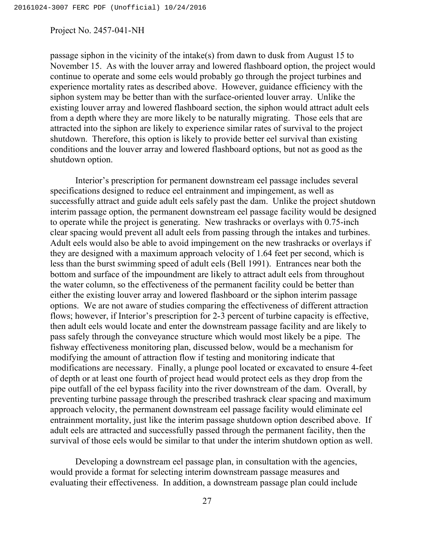passage siphon in the vicinity of the intake(s) from dawn to dusk from August 15 to November 15. As with the louver array and lowered flashboard option, the project would continue to operate and some eels would probably go through the project turbines and experience mortality rates as described above. However, guidance efficiency with the siphon system may be better than with the surface-oriented louver array. Unlike the existing louver array and lowered flashboard section, the siphon would attract adult eels from a depth where they are more likely to be naturally migrating. Those eels that are attracted into the siphon are likely to experience similar rates of survival to the project shutdown. Therefore, this option is likely to provide better eel survival than existing conditions and the louver array and lowered flashboard options, but not as good as the shutdown option.

Interior's prescription for permanent downstream eel passage includes several specifications designed to reduce eel entrainment and impingement, as well as successfully attract and guide adult eels safely past the dam. Unlike the project shutdown interim passage option, the permanent downstream eel passage facility would be designed to operate while the project is generating. New trashracks or overlays with 0.75-inch clear spacing would prevent all adult eels from passing through the intakes and turbines. Adult eels would also be able to avoid impingement on the new trashracks or overlays if they are designed with a maximum approach velocity of 1.64 feet per second, which is less than the burst swimming speed of adult eels (Bell 1991). Entrances near both the bottom and surface of the impoundment are likely to attract adult eels from throughout the water column, so the effectiveness of the permanent facility could be better than either the existing louver array and lowered flashboard or the siphon interim passage options. We are not aware of studies comparing the effectiveness of different attraction flows; however, if Interior's prescription for 2-3 percent of turbine capacity is effective, then adult eels would locate and enter the downstream passage facility and are likely to pass safely through the conveyance structure which would most likely be a pipe. The fishway effectiveness monitoring plan, discussed below, would be a mechanism for modifying the amount of attraction flow if testing and monitoring indicate that modifications are necessary. Finally, a plunge pool located or excavated to ensure 4-feet of depth or at least one fourth of project head would protect eels as they drop from the pipe outfall of the eel bypass facility into the river downstream of the dam. Overall, by preventing turbine passage through the prescribed trashrack clear spacing and maximum approach velocity, the permanent downstream eel passage facility would eliminate eel entrainment mortality, just like the interim passage shutdown option described above. If adult eels are attracted and successfully passed through the permanent facility, then the survival of those eels would be similar to that under the interim shutdown option as well.

Developing a downstream eel passage plan, in consultation with the agencies, would provide a format for selecting interim downstream passage measures and evaluating their effectiveness. In addition, a downstream passage plan could include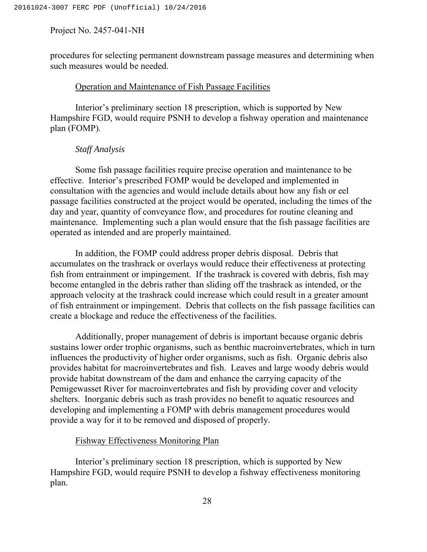procedures for selecting permanent downstream passage measures and determining when such measures would be needed.

### Operation and Maintenance of Fish Passage Facilities

Interior's preliminary section 18 prescription, which is supported by New Hampshire FGD, would require PSNH to develop a fishway operation and maintenance plan (FOMP).

### *Staff Analysis*

Some fish passage facilities require precise operation and maintenance to be effective. Interior's prescribed FOMP would be developed and implemented in consultation with the agencies and would include details about how any fish or eel passage facilities constructed at the project would be operated, including the times of the day and year, quantity of conveyance flow, and procedures for routine cleaning and maintenance. Implementing such a plan would ensure that the fish passage facilities are operated as intended and are properly maintained.

In addition, the FOMP could address proper debris disposal. Debris that accumulates on the trashrack or overlays would reduce their effectiveness at protecting fish from entrainment or impingement. If the trashrack is covered with debris, fish may become entangled in the debris rather than sliding off the trashrack as intended, or the approach velocity at the trashrack could increase which could result in a greater amount of fish entrainment or impingement. Debris that collects on the fish passage facilities can create a blockage and reduce the effectiveness of the facilities.

Additionally, proper management of debris is important because organic debris sustains lower order trophic organisms, such as benthic macroinvertebrates, which in turn influences the productivity of higher order organisms, such as fish. Organic debris also provides habitat for macroinvertebrates and fish. Leaves and large woody debris would provide habitat downstream of the dam and enhance the carrying capacity of the Pemigewasset River for macroinvertebrates and fish by providing cover and velocity shelters. Inorganic debris such as trash provides no benefit to aquatic resources and developing and implementing a FOMP with debris management procedures would provide a way for it to be removed and disposed of properly.

## Fishway Effectiveness Monitoring Plan

Interior's preliminary section 18 prescription, which is supported by New Hampshire FGD, would require PSNH to develop a fishway effectiveness monitoring plan.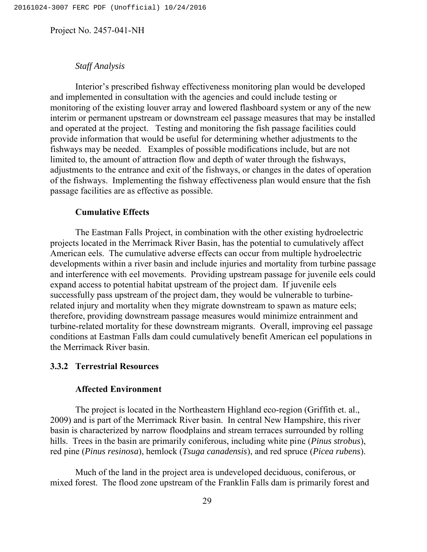# *Staff Analysis*

Interior's prescribed fishway effectiveness monitoring plan would be developed and implemented in consultation with the agencies and could include testing or monitoring of the existing louver array and lowered flashboard system or any of the new interim or permanent upstream or downstream eel passage measures that may be installed and operated at the project. Testing and monitoring the fish passage facilities could provide information that would be useful for determining whether adjustments to the fishways may be needed. Examples of possible modifications include, but are not limited to, the amount of attraction flow and depth of water through the fishways, adjustments to the entrance and exit of the fishways, or changes in the dates of operation of the fishways. Implementing the fishway effectiveness plan would ensure that the fish passage facilities are as effective as possible.

### **Cumulative Effects**

The Eastman Falls Project, in combination with the other existing hydroelectric projects located in the Merrimack River Basin, has the potential to cumulatively affect American eels. The cumulative adverse effects can occur from multiple hydroelectric developments within a river basin and include injuries and mortality from turbine passage and interference with eel movements. Providing upstream passage for juvenile eels could expand access to potential habitat upstream of the project dam. If juvenile eels successfully pass upstream of the project dam, they would be vulnerable to turbinerelated injury and mortality when they migrate downstream to spawn as mature eels; therefore, providing downstream passage measures would minimize entrainment and turbine-related mortality for these downstream migrants. Overall, improving eel passage conditions at Eastman Falls dam could cumulatively benefit American eel populations in the Merrimack River basin.

# **3.3.2 Terrestrial Resources**

## **Affected Environment**

The project is located in the Northeastern Highland eco-region (Griffith et. al., 2009) and is part of the Merrimack River basin. In central New Hampshire, this river basin is characterized by narrow floodplains and stream terraces surrounded by rolling hills. Trees in the basin are primarily coniferous, including white pine (*Pinus strobus*), red pine (*Pinus resinosa*), hemlock (*Tsuga canadensis*), and red spruce (*Picea rubens*).

Much of the land in the project area is undeveloped deciduous, coniferous, or mixed forest. The flood zone upstream of the Franklin Falls dam is primarily forest and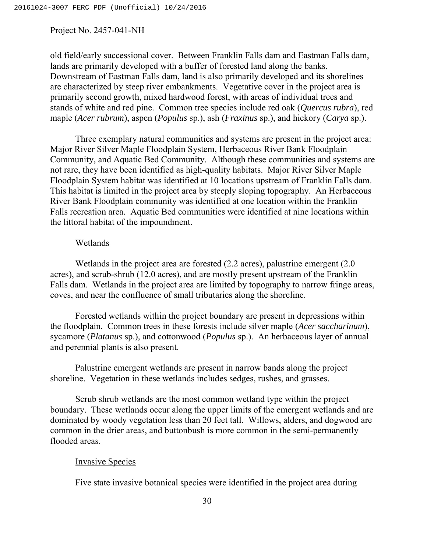old field/early successional cover. Between Franklin Falls dam and Eastman Falls dam, lands are primarily developed with a buffer of forested land along the banks. Downstream of Eastman Falls dam, land is also primarily developed and its shorelines are characterized by steep river embankments. Vegetative cover in the project area is primarily second growth, mixed hardwood forest, with areas of individual trees and stands of white and red pine. Common tree species include red oak (*Quercus rubra*), red maple (*Acer rubrum*), aspen (*Populus* sp.), ash (*Fraxinus* sp.), and hickory (*Carya* sp.).

Three exemplary natural communities and systems are present in the project area: Major River Silver Maple Floodplain System, Herbaceous River Bank Floodplain Community, and Aquatic Bed Community. Although these communities and systems are not rare, they have been identified as high-quality habitats. Major River Silver Maple Floodplain System habitat was identified at 10 locations upstream of Franklin Falls dam. This habitat is limited in the project area by steeply sloping topography. An Herbaceous River Bank Floodplain community was identified at one location within the Franklin Falls recreation area. Aquatic Bed communities were identified at nine locations within the littoral habitat of the impoundment.

### Wetlands

Wetlands in the project area are forested (2.2 acres), palustrine emergent (2.0 acres), and scrub-shrub (12.0 acres), and are mostly present upstream of the Franklin Falls dam. Wetlands in the project area are limited by topography to narrow fringe areas, coves, and near the confluence of small tributaries along the shoreline.

Forested wetlands within the project boundary are present in depressions within the floodplain. Common trees in these forests include silver maple (*Acer saccharinum*), sycamore (*Platanus* sp.), and cottonwood (*Populus* sp.). An herbaceous layer of annual and perennial plants is also present.

Palustrine emergent wetlands are present in narrow bands along the project shoreline. Vegetation in these wetlands includes sedges, rushes, and grasses.

Scrub shrub wetlands are the most common wetland type within the project boundary. These wetlands occur along the upper limits of the emergent wetlands and are dominated by woody vegetation less than 20 feet tall. Willows, alders, and dogwood are common in the drier areas, and buttonbush is more common in the semi-permanently flooded areas.

## Invasive Species

Five state invasive botanical species were identified in the project area during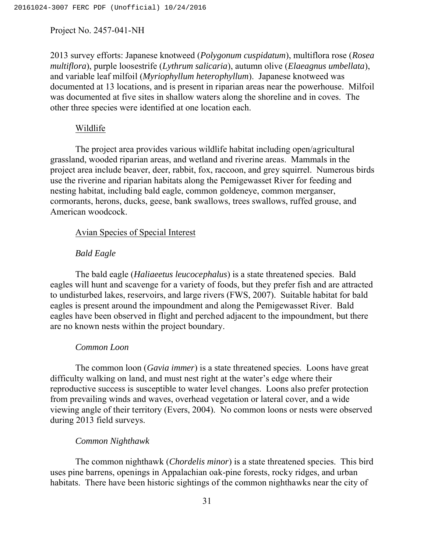2013 survey efforts: Japanese knotweed (*Polygonum cuspidatum*), multiflora rose (*Rosea multiflora*), purple loosestrife (*Lythrum salicaria*), autumn olive (*Elaeagnus umbellata*), and variable leaf milfoil (*Myriophyllum heterophyllum*). Japanese knotweed was documented at 13 locations, and is present in riparian areas near the powerhouse. Milfoil was documented at five sites in shallow waters along the shoreline and in coves. The other three species were identified at one location each.

### Wildlife

The project area provides various wildlife habitat including open/agricultural grassland, wooded riparian areas, and wetland and riverine areas. Mammals in the project area include beaver, deer, rabbit, fox, raccoon, and grey squirrel. Numerous birds use the riverine and riparian habitats along the Pemigewasset River for feeding and nesting habitat, including bald eagle, common goldeneye, common merganser, cormorants, herons, ducks, geese, bank swallows, trees swallows, ruffed grouse, and American woodcock.

## Avian Species of Special Interest

# *Bald Eagle*

The bald eagle (*Haliaeetus leucocephalus*) is a state threatened species. Bald eagles will hunt and scavenge for a variety of foods, but they prefer fish and are attracted to undisturbed lakes, reservoirs, and large rivers (FWS, 2007). Suitable habitat for bald eagles is present around the impoundment and along the Pemigewasset River. Bald eagles have been observed in flight and perched adjacent to the impoundment, but there are no known nests within the project boundary.

### *Common Loon*

The common loon (*Gavia immer*) is a state threatened species. Loons have great difficulty walking on land, and must nest right at the water's edge where their reproductive success is susceptible to water level changes. Loons also prefer protection from prevailing winds and waves, overhead vegetation or lateral cover, and a wide viewing angle of their territory (Evers, 2004). No common loons or nests were observed during 2013 field surveys.

# *Common Nighthawk*

The common nighthawk (*Chordelis minor*) is a state threatened species. This bird uses pine barrens, openings in Appalachian oak-pine forests, rocky ridges, and urban habitats. There have been historic sightings of the common nighthawks near the city of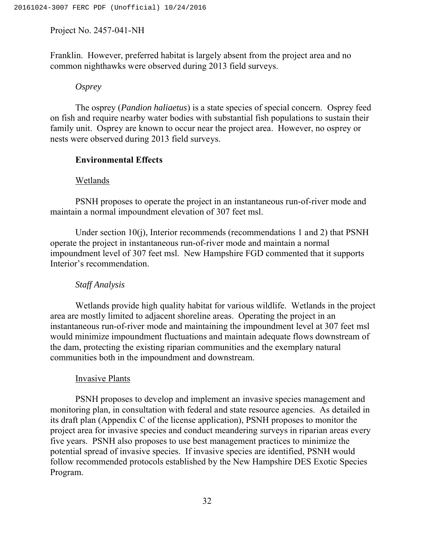Franklin. However, preferred habitat is largely absent from the project area and no common nighthawks were observed during 2013 field surveys.

### *Osprey*

The osprey (*Pandion haliaetus*) is a state species of special concern. Osprey feed on fish and require nearby water bodies with substantial fish populations to sustain their family unit. Osprey are known to occur near the project area. However, no osprey or nests were observed during 2013 field surveys.

## **Environmental Effects**

### Wetlands

PSNH proposes to operate the project in an instantaneous run-of-river mode and maintain a normal impoundment elevation of 307 feet msl.

Under section 10(j), Interior recommends (recommendations 1 and 2) that PSNH operate the project in instantaneous run-of-river mode and maintain a normal impoundment level of 307 feet msl. New Hampshire FGD commented that it supports Interior's recommendation.

### *Staff Analysis*

Wetlands provide high quality habitat for various wildlife. Wetlands in the project area are mostly limited to adjacent shoreline areas. Operating the project in an instantaneous run-of-river mode and maintaining the impoundment level at 307 feet msl would minimize impoundment fluctuations and maintain adequate flows downstream of the dam, protecting the existing riparian communities and the exemplary natural communities both in the impoundment and downstream.

### Invasive Plants

PSNH proposes to develop and implement an invasive species management and monitoring plan, in consultation with federal and state resource agencies. As detailed in its draft plan (Appendix C of the license application), PSNH proposes to monitor the project area for invasive species and conduct meandering surveys in riparian areas every five years. PSNH also proposes to use best management practices to minimize the potential spread of invasive species. If invasive species are identified, PSNH would follow recommended protocols established by the New Hampshire DES Exotic Species Program.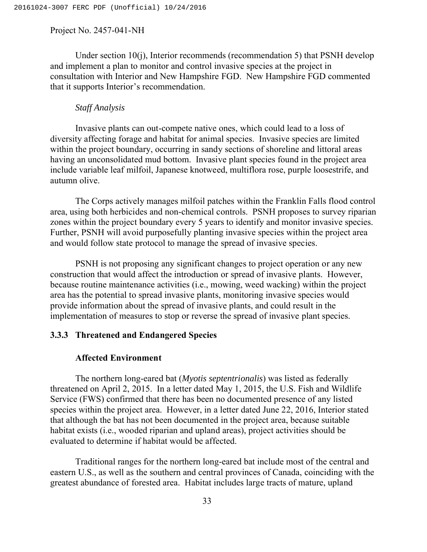Under section 10(j), Interior recommends (recommendation 5) that PSNH develop and implement a plan to monitor and control invasive species at the project in consultation with Interior and New Hampshire FGD. New Hampshire FGD commented that it supports Interior's recommendation.

## *Staff Analysis*

Invasive plants can out-compete native ones, which could lead to a loss of diversity affecting forage and habitat for animal species. Invasive species are limited within the project boundary, occurring in sandy sections of shoreline and littoral areas having an unconsolidated mud bottom. Invasive plant species found in the project area include variable leaf milfoil, Japanese knotweed, multiflora rose, purple loosestrife, and autumn olive.

The Corps actively manages milfoil patches within the Franklin Falls flood control area, using both herbicides and non-chemical controls. PSNH proposes to survey riparian zones within the project boundary every 5 years to identify and monitor invasive species. Further, PSNH will avoid purposefully planting invasive species within the project area and would follow state protocol to manage the spread of invasive species.

PSNH is not proposing any significant changes to project operation or any new construction that would affect the introduction or spread of invasive plants. However, because routine maintenance activities (i.e., mowing, weed wacking) within the project area has the potential to spread invasive plants, monitoring invasive species would provide information about the spread of invasive plants, and could result in the implementation of measures to stop or reverse the spread of invasive plant species.

# **3.3.3 Threatened and Endangered Species**

## **Affected Environment**

The northern long-eared bat (*Myotis septentrionalis*) was listed as federally threatened on April 2, 2015. In a letter dated May 1, 2015, the U.S. Fish and Wildlife Service (FWS) confirmed that there has been no documented presence of any listed species within the project area. However, in a letter dated June 22, 2016, Interior stated that although the bat has not been documented in the project area, because suitable habitat exists (i.e., wooded riparian and upland areas), project activities should be evaluated to determine if habitat would be affected.

Traditional ranges for the northern long-eared bat include most of the central and eastern U.S., as well as the southern and central provinces of Canada, coinciding with the greatest abundance of forested area. Habitat includes large tracts of mature, upland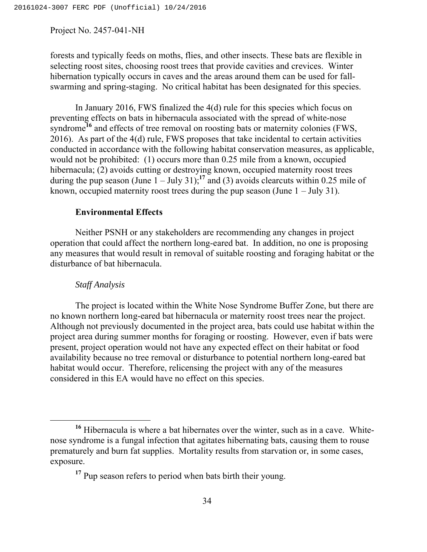forests and typically feeds on moths, flies, and other insects. These bats are flexible in selecting roost sites, choosing roost trees that provide cavities and crevices. Winter hibernation typically occurs in caves and the areas around them can be used for fallswarming and spring-staging. No critical habitat has been designated for this species.

In January 2016, FWS finalized the 4(d) rule for this species which focus on preventing effects on bats in hibernacula associated with the spread of white-nose syndrome<sup>16</sup> and effects of tree removal on roosting bats or maternity colonies (FWS, 2016). As part of the 4(d) rule, FWS proposes that take incidental to certain activities conducted in accordance with the following habitat conservation measures, as applicable, would not be prohibited: (1) occurs more than 0.25 mile from a known, occupied hibernacula; (2) avoids cutting or destroying known, occupied maternity roost trees during the pup season (June  $1 -$  July 31);<sup>17</sup> and (3) avoids clearcuts within 0.25 mile of known, occupied maternity roost trees during the pup season (June  $1 - \text{July } 31$ ).

# **Environmental Effects**

Neither PSNH or any stakeholders are recommending any changes in project operation that could affect the northern long-eared bat. In addition, no one is proposing any measures that would result in removal of suitable roosting and foraging habitat or the disturbance of bat hibernacula.

### *Staff Analysis*

The project is located within the White Nose Syndrome Buffer Zone, but there are no known northern long-eared bat hibernacula or maternity roost trees near the project. Although not previously documented in the project area, bats could use habitat within the project area during summer months for foraging or roosting. However, even if bats were present, project operation would not have any expected effect on their habitat or food availability because no tree removal or disturbance to potential northern long-eared bat habitat would occur. Therefore, relicensing the project with any of the measures considered in this EA would have no effect on this species.

**<sup>16</sup>** Hibernacula is where a bat hibernates over the winter, such as in a cave. Whitenose syndrome is a fungal infection that agitates hibernating bats, causing them to rouse prematurely and burn fat supplies. Mortality results from starvation or, in some cases, exposure.

<sup>&</sup>lt;sup>17</sup> Pup season refers to period when bats birth their young.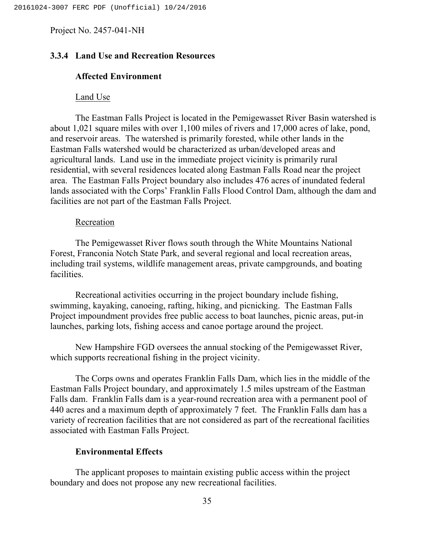# **3.3.4 Land Use and Recreation Resources**

## **Affected Environment**

### Land Use

The Eastman Falls Project is located in the Pemigewasset River Basin watershed is about 1,021 square miles with over 1,100 miles of rivers and 17,000 acres of lake, pond, and reservoir areas. The watershed is primarily forested, while other lands in the Eastman Falls watershed would be characterized as urban/developed areas and agricultural lands. Land use in the immediate project vicinity is primarily rural residential, with several residences located along Eastman Falls Road near the project area. The Eastman Falls Project boundary also includes 476 acres of inundated federal lands associated with the Corps' Franklin Falls Flood Control Dam, although the dam and facilities are not part of the Eastman Falls Project.

## Recreation

The Pemigewasset River flows south through the White Mountains National Forest, Franconia Notch State Park, and several regional and local recreation areas, including trail systems, wildlife management areas, private campgrounds, and boating facilities.

Recreational activities occurring in the project boundary include fishing, swimming, kayaking, canoeing, rafting, hiking, and picnicking. The Eastman Falls Project impoundment provides free public access to boat launches, picnic areas, put-in launches, parking lots, fishing access and canoe portage around the project.

New Hampshire FGD oversees the annual stocking of the Pemigewasset River, which supports recreational fishing in the project vicinity.

The Corps owns and operates Franklin Falls Dam, which lies in the middle of the Eastman Falls Project boundary, and approximately 1.5 miles upstream of the Eastman Falls dam. Franklin Falls dam is a year-round recreation area with a permanent pool of 440 acres and a maximum depth of approximately 7 feet. The Franklin Falls dam has a variety of recreation facilities that are not considered as part of the recreational facilities associated with Eastman Falls Project.

# **Environmental Effects**

The applicant proposes to maintain existing public access within the project boundary and does not propose any new recreational facilities.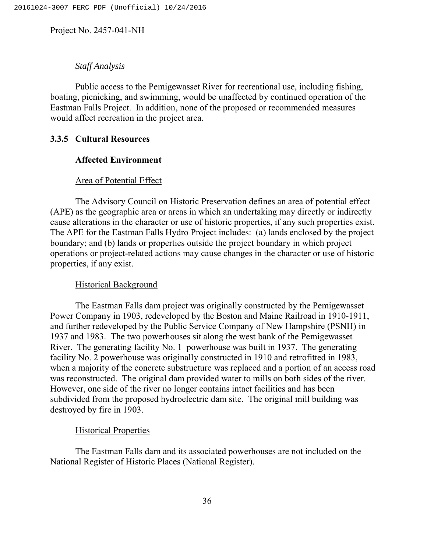# *Staff Analysis*

Public access to the Pemigewasset River for recreational use, including fishing, boating, picnicking, and swimming, would be unaffected by continued operation of the Eastman Falls Project. In addition, none of the proposed or recommended measures would affect recreation in the project area.

# **3.3.5 Cultural Resources**

## **Affected Environment**

## Area of Potential Effect

The Advisory Council on Historic Preservation defines an area of potential effect (APE) as the geographic area or areas in which an undertaking may directly or indirectly cause alterations in the character or use of historic properties, if any such properties exist. The APE for the Eastman Falls Hydro Project includes: (a) lands enclosed by the project boundary; and (b) lands or properties outside the project boundary in which project operations or project-related actions may cause changes in the character or use of historic properties, if any exist.

### Historical Background

The Eastman Falls dam project was originally constructed by the Pemigewasset Power Company in 1903, redeveloped by the Boston and Maine Railroad in 1910-1911, and further redeveloped by the Public Service Company of New Hampshire (PSNH) in 1937 and 1983. The two powerhouses sit along the west bank of the Pemigewasset River. The generating facility No. 1 powerhouse was built in 1937. The generating facility No. 2 powerhouse was originally constructed in 1910 and retrofitted in 1983, when a majority of the concrete substructure was replaced and a portion of an access road was reconstructed. The original dam provided water to mills on both sides of the river. However, one side of the river no longer contains intact facilities and has been subdivided from the proposed hydroelectric dam site. The original mill building was destroyed by fire in 1903.

### Historical Properties

The Eastman Falls dam and its associated powerhouses are not included on the National Register of Historic Places (National Register).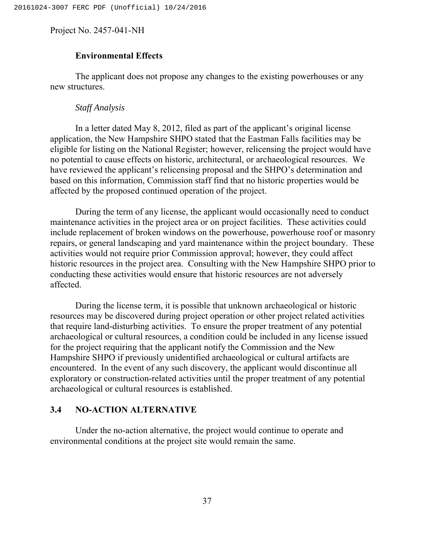# **Environmental Effects**

The applicant does not propose any changes to the existing powerhouses or any new structures.

## *Staff Analysis*

In a letter dated May 8, 2012, filed as part of the applicant's original license application, the New Hampshire SHPO stated that the Eastman Falls facilities may be eligible for listing on the National Register; however, relicensing the project would have no potential to cause effects on historic, architectural, or archaeological resources. We have reviewed the applicant's relicensing proposal and the SHPO's determination and based on this information, Commission staff find that no historic properties would be affected by the proposed continued operation of the project.

During the term of any license, the applicant would occasionally need to conduct maintenance activities in the project area or on project facilities. These activities could include replacement of broken windows on the powerhouse, powerhouse roof or masonry repairs, or general landscaping and yard maintenance within the project boundary. These activities would not require prior Commission approval; however, they could affect historic resources in the project area. Consulting with the New Hampshire SHPO prior to conducting these activities would ensure that historic resources are not adversely affected.

During the license term, it is possible that unknown archaeological or historic resources may be discovered during project operation or other project related activities that require land-disturbing activities. To ensure the proper treatment of any potential archaeological or cultural resources, a condition could be included in any license issued for the project requiring that the applicant notify the Commission and the New Hampshire SHPO if previously unidentified archaeological or cultural artifacts are encountered. In the event of any such discovery, the applicant would discontinue all exploratory or construction-related activities until the proper treatment of any potential archaeological or cultural resources is established.

# **3.4 NO-ACTION ALTERNATIVE**

Under the no-action alternative, the project would continue to operate and environmental conditions at the project site would remain the same.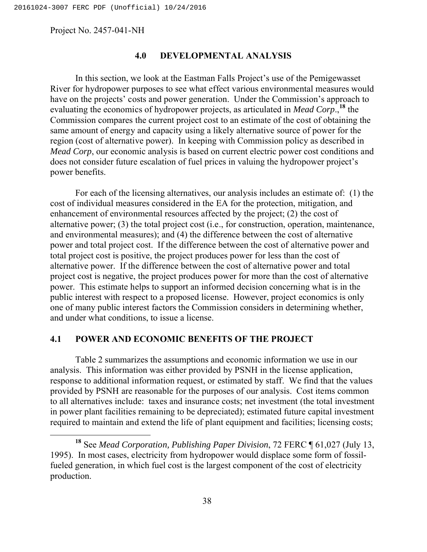## **4.0 DEVELOPMENTAL ANALYSIS**

In this section, we look at the Eastman Falls Project's use of the Pemigewasset River for hydropower purposes to see what effect various environmental measures would have on the projects' costs and power generation. Under the Commission's approach to evaluating the economics of hydropower projects, as articulated in *Mead Corp*.,**<sup>18</sup>** the Commission compares the current project cost to an estimate of the cost of obtaining the same amount of energy and capacity using a likely alternative source of power for the region (cost of alternative power). In keeping with Commission policy as described in *Mead Corp*, our economic analysis is based on current electric power cost conditions and does not consider future escalation of fuel prices in valuing the hydropower project's power benefits.

For each of the licensing alternatives, our analysis includes an estimate of: (1) the cost of individual measures considered in the EA for the protection, mitigation, and enhancement of environmental resources affected by the project; (2) the cost of alternative power; (3) the total project cost (i.e., for construction, operation, maintenance, and environmental measures); and (4) the difference between the cost of alternative power and total project cost. If the difference between the cost of alternative power and total project cost is positive, the project produces power for less than the cost of alternative power. If the difference between the cost of alternative power and total project cost is negative, the project produces power for more than the cost of alternative power. This estimate helps to support an informed decision concerning what is in the public interest with respect to a proposed license. However, project economics is only one of many public interest factors the Commission considers in determining whether, and under what conditions, to issue a license.

# **4.1 POWER AND ECONOMIC BENEFITS OF THE PROJECT**

Table 2 summarizes the assumptions and economic information we use in our analysis. This information was either provided by PSNH in the license application, response to additional information request, or estimated by staff. We find that the values provided by PSNH are reasonable for the purposes of our analysis. Cost items common to all alternatives include: taxes and insurance costs; net investment (the total investment in power plant facilities remaining to be depreciated); estimated future capital investment required to maintain and extend the life of plant equipment and facilities; licensing costs;

**<sup>18</sup>** See *Mead Corporation, Publishing Paper Division*, 72 FERC ¶ 61,027 (July 13, 1995). In most cases, electricity from hydropower would displace some form of fossilfueled generation, in which fuel cost is the largest component of the cost of electricity production.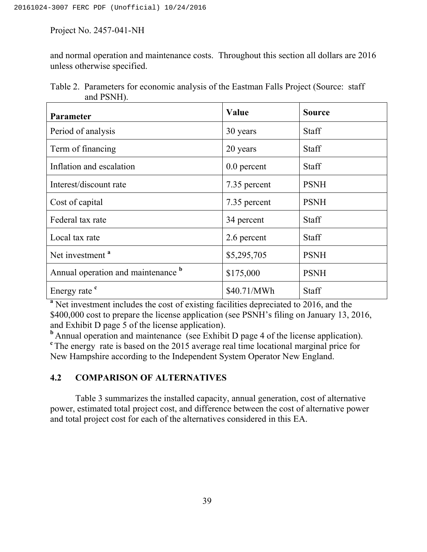and normal operation and maintenance costs. Throughout this section all dollars are 2016 unless otherwise specified.

| $\mu$ <sub>1</sub> $\mu$ <sub>1</sub> $\mu$ <sub>1</sub> , |               |               |
|------------------------------------------------------------|---------------|---------------|
| Parameter                                                  | <b>Value</b>  | <b>Source</b> |
| Period of analysis                                         | 30 years      | <b>Staff</b>  |
| Term of financing                                          | 20 years      | Staff         |
| Inflation and escalation                                   | $0.0$ percent | <b>Staff</b>  |
| Interest/discount rate                                     | 7.35 percent  | <b>PSNH</b>   |
| Cost of capital                                            | 7.35 percent  | <b>PSNH</b>   |
| Federal tax rate                                           | 34 percent    | Staff         |
| Local tax rate                                             | 2.6 percent   | <b>Staff</b>  |
| Net investment <sup>a</sup>                                | \$5,295,705   | <b>PSNH</b>   |
| Annual operation and maintenance b                         | \$175,000     | <b>PSNH</b>   |
| Energy rate <sup>c</sup>                                   | \$40.71/MWh   | Staff         |

Table 2. Parameters for economic analysis of the Eastman Falls Project (Source: staff and PSNH).

<sup>a</sup> Net investment includes the cost of existing facilities depreciated to 2016, and the \$400,000 cost to prepare the license application (see PSNH's filing on January 13, 2016, and Exhibit D page 5 of the license application).

**b** Annual operation and maintenance (see Exhibit D page 4 of the license application). <sup>c</sup> The energy rate is based on the 2015 average real time locational marginal price for New Hampshire according to the Independent System Operator New England.

# **4.2 COMPARISON OF ALTERNATIVES**

Table 3 summarizes the installed capacity, annual generation, cost of alternative power, estimated total project cost, and difference between the cost of alternative power and total project cost for each of the alternatives considered in this EA.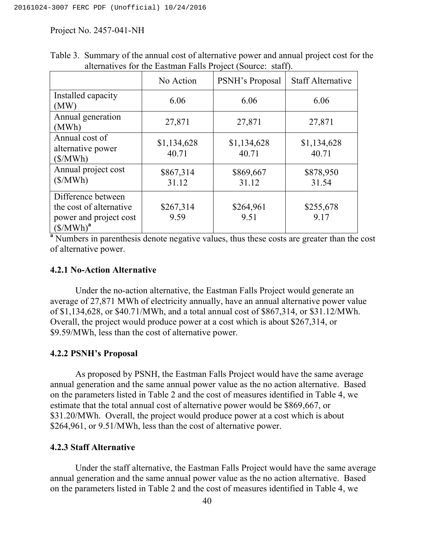|                                                                                        | No Action            | PSNH's Proposal      | <b>Staff Alternative</b> |  |  |
|----------------------------------------------------------------------------------------|----------------------|----------------------|--------------------------|--|--|
| Installed capacity<br>(MW)                                                             | 6.06                 | 6.06                 | 6.06                     |  |  |
| Annual generation<br>(MWh)                                                             | 27,871               | 27,871               | 27,871                   |  |  |
| Annual cost of<br>alternative power<br>(S/MWh)                                         | \$1,134,628<br>40.71 | \$1,134,628<br>40.71 | \$1,134,628<br>40.71     |  |  |
| Annual project cost<br>(S/MWh)                                                         | \$867,314<br>31.12   | \$869,667<br>31.12   | \$878,950<br>31.54       |  |  |
| Difference between<br>the cost of alternative<br>power and project cost<br>$(S/MWh)^a$ | \$267,314<br>9.59    | \$264,961<br>9.51    | \$255,678<br>9.17        |  |  |

Table 3. Summary of the annual cost of alternative power and annual project cost for the alternatives for the Eastman Falls Project (Source: staff).

<sup>a</sup> Numbers in parenthesis denote negative values, thus these costs are greater than the cost of alternative power.

## **4.2.1 No-Action Alternative**

Under the no-action alternative, the Eastman Falls Project would generate an average of 27,871 MWh of electricity annually, have an annual alternative power value of \$1,134,628, or \$40.71/MWh, and a total annual cost of \$867,314, or \$31.12/MWh. Overall, the project would produce power at a cost which is about \$267,314, or \$9.59/MWh, less than the cost of alternative power.

# **4.2.2 PSNH's Proposal**

As proposed by PSNH, the Eastman Falls Project would have the same average annual generation and the same annual power value as the no action alternative. Based on the parameters listed in Table 2 and the cost of measures identified in Table 4, we estimate that the total annual cost of alternative power would be \$869,667, or \$31.20/MWh. Overall, the project would produce power at a cost which is about \$264,961, or 9.51/MWh, less than the cost of alternative power.

# **4.2.3 Staff Alternative**

Under the staff alternative, the Eastman Falls Project would have the same average annual generation and the same annual power value as the no action alternative. Based on the parameters listed in Table 2 and the cost of measures identified in Table 4, we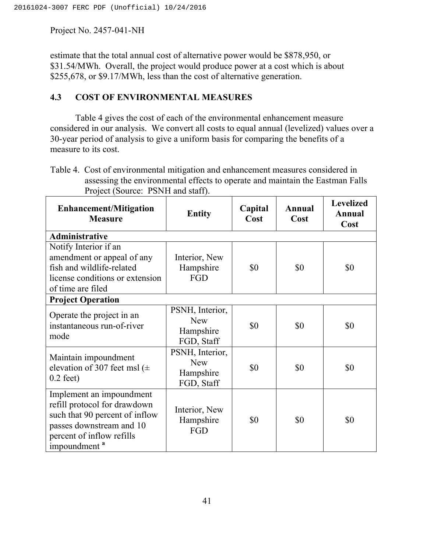estimate that the total annual cost of alternative power would be \$878,950, or \$31.54/MWh. Overall, the project would produce power at a cost which is about \$255,678, or \$9.17/MWh, less than the cost of alternative generation.

# **4.3 COST OF ENVIRONMENTAL MEASURES**

Table 4 gives the cost of each of the environmental enhancement measure considered in our analysis. We convert all costs to equal annual (levelized) values over a 30-year period of analysis to give a uniform basis for comparing the benefits of a measure to its cost.

Table 4. Cost of environmental mitigation and enhancement measures considered in assessing the environmental effects to operate and maintain the Eastman Falls Project (Source: PSNH and staff).

| <b>Enhancement/Mitigation</b><br><b>Measure</b>                                                                                                                                 | <b>Entity</b>                                            | Capital<br>Cost | Annual<br>Cost | <b>Levelized</b><br>Annual<br>Cost |
|---------------------------------------------------------------------------------------------------------------------------------------------------------------------------------|----------------------------------------------------------|-----------------|----------------|------------------------------------|
| <b>Administrative</b>                                                                                                                                                           |                                                          |                 |                |                                    |
| Notify Interior if an<br>amendment or appeal of any<br>fish and wildlife-related<br>license conditions or extension<br>of time are filed<br><b>Project Operation</b>            | Interior, New<br>Hampshire<br>FGD                        | \$0             | \$0            | \$0                                |
| Operate the project in an<br>instantaneous run-of-river<br>mode                                                                                                                 | PSNH, Interior,<br><b>New</b><br>Hampshire<br>FGD, Staff | \$0             | \$0            | \$0                                |
| Maintain impoundment<br>elevation of 307 feet msl ( $\pm$<br>$0.2$ feet)                                                                                                        | PSNH, Interior,<br><b>New</b><br>Hampshire<br>FGD, Staff | \$0             | \$0            | \$0                                |
| Implement an impoundment<br>refill protocol for drawdown<br>such that 90 percent of inflow<br>passes downstream and 10<br>percent of inflow refills<br>impoundment <sup>a</sup> | Interior, New<br>Hampshire<br>FGD                        | \$0             | \$0            | \$0                                |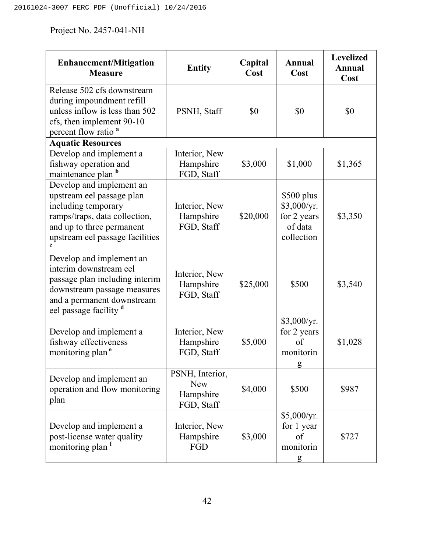| <b>Enhancement/Mitigation</b><br><b>Measure</b>                                                                                                                               | <b>Entity</b>                                            | Capital<br>Cost | Annual<br>Cost                                                     | <b>Levelized</b><br><b>Annual</b><br>Cost |
|-------------------------------------------------------------------------------------------------------------------------------------------------------------------------------|----------------------------------------------------------|-----------------|--------------------------------------------------------------------|-------------------------------------------|
| Release 502 cfs downstream<br>during impoundment refill<br>unless inflow is less than 502<br>cfs, then implement 90-10<br>percent flow ratio <sup>a</sup>                     | PSNH, Staff                                              | \$0             | \$0                                                                | \$0                                       |
| <b>Aquatic Resources</b>                                                                                                                                                      |                                                          |                 |                                                                    |                                           |
| Develop and implement a<br>fishway operation and<br>maintenance plan b                                                                                                        | Interior, New<br>Hampshire<br>FGD, Staff                 | \$3,000         | \$1,000                                                            | \$1,365                                   |
| Develop and implement an<br>upstream eel passage plan<br>including temporary<br>ramps/traps, data collection,<br>and up to three permanent<br>upstream eel passage facilities | Interior, New<br>Hampshire<br>FGD, Staff                 | \$20,000        | $$500$ plus<br>\$3,000/yr.<br>for 2 years<br>of data<br>collection | \$3,350                                   |
| Develop and implement an<br>interim downstream eel<br>passage plan including interim<br>downstream passage measures<br>and a permanent downstream<br>eel passage facility d   | Interior, New<br>Hampshire<br>FGD, Staff                 | \$25,000        | \$500                                                              | \$3,540                                   |
| Develop and implement a<br>fishway effectiveness<br>monitoring plan <sup>e</sup>                                                                                              | Interior, New<br>Hampshire<br>FGD, Staff                 | \$5,000         | \$3,000/yr.<br>for 2 years<br>of<br>monitorin<br>g                 | \$1,028                                   |
| Develop and implement an<br>operation and flow monitoring<br>plan                                                                                                             | PSNH, Interior,<br><b>New</b><br>Hampshire<br>FGD, Staff | \$4,000         | \$500                                                              | \$987                                     |
| Develop and implement a<br>post-license water quality<br>monitoring plan <sup>1</sup>                                                                                         | Interior, New<br>Hampshire<br>FGD                        | \$3,000         | \$5,000/yr.<br>for 1 year<br>of<br>monitorin<br>g                  | \$727                                     |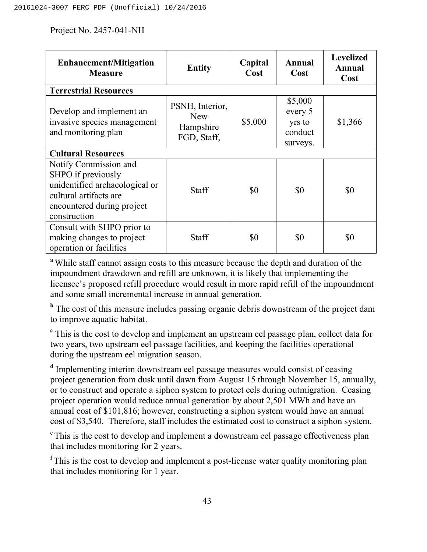| <b>Enhancement/Mitigation</b><br><b>Measure</b>                                                                                                       | <b>Entity</b>                                             | Capital<br>Cost | Annual<br>Cost                                      | <b>Levelized</b><br>Annual<br>Cost |  |
|-------------------------------------------------------------------------------------------------------------------------------------------------------|-----------------------------------------------------------|-----------------|-----------------------------------------------------|------------------------------------|--|
| <b>Terrestrial Resources</b>                                                                                                                          |                                                           |                 |                                                     |                                    |  |
| Develop and implement an<br>invasive species management<br>and monitoring plan                                                                        | PSNH, Interior,<br><b>New</b><br>Hampshire<br>FGD, Staff, | \$5,000         | \$5,000<br>every 5<br>yrs to<br>conduct<br>surveys. | \$1,366                            |  |
| <b>Cultural Resources</b>                                                                                                                             |                                                           |                 |                                                     |                                    |  |
| Notify Commission and<br>SHPO if previously<br>unidentified archaeological or<br>cultural artifacts are<br>encountered during project<br>construction | <b>Staff</b>                                              | \$0             | \$0                                                 | \$0                                |  |
| Consult with SHPO prior to<br>making changes to project<br>operation or facilities                                                                    | <b>Staff</b>                                              | \$0             | \$0                                                 | \$0                                |  |

**<sup>a</sup>**While staff cannot assign costs to this measure because the depth and duration of the impoundment drawdown and refill are unknown, it is likely that implementing the licensee's proposed refill procedure would result in more rapid refill of the impoundment and some small incremental increase in annual generation.

<sup>b</sup> The cost of this measure includes passing organic debris downstream of the project dam to improve aquatic habitat.

**<sup>c</sup>** This is the cost to develop and implement an upstream eel passage plan, collect data for two years, two upstream eel passage facilities, and keeping the facilities operational during the upstream eel migration season.

**<sup>d</sup>** Implementing interim downstream eel passage measures would consist of ceasing project generation from dusk until dawn from August 15 through November 15, annually, or to construct and operate a siphon system to protect eels during outmigration. Ceasing project operation would reduce annual generation by about 2,501 MWh and have an annual cost of \$101,816; however, constructing a siphon system would have an annual cost of \$3,540. Therefore, staff includes the estimated cost to construct a siphon system.

<sup>e</sup> This is the cost to develop and implement a downstream eel passage effectiveness plan that includes monitoring for 2 years.

<sup>f</sup> This is the cost to develop and implement a post-license water quality monitoring plan that includes monitoring for 1 year.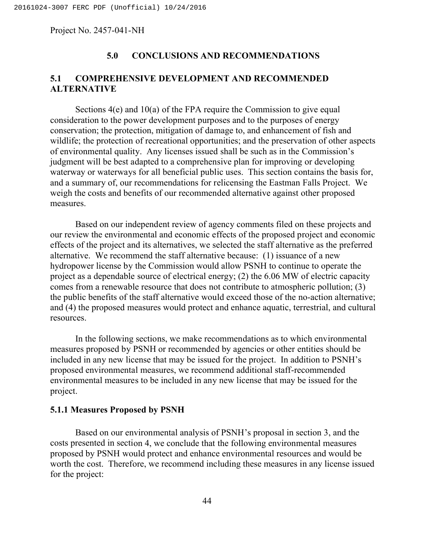# **5.0 CONCLUSIONS AND RECOMMENDATIONS**

# **5.1 COMPREHENSIVE DEVELOPMENT AND RECOMMENDED ALTERNATIVE**

Sections 4(e) and 10(a) of the FPA require the Commission to give equal consideration to the power development purposes and to the purposes of energy conservation; the protection, mitigation of damage to, and enhancement of fish and wildlife; the protection of recreational opportunities; and the preservation of other aspects of environmental quality. Any licenses issued shall be such as in the Commission's judgment will be best adapted to a comprehensive plan for improving or developing waterway or waterways for all beneficial public uses. This section contains the basis for, and a summary of, our recommendations for relicensing the Eastman Falls Project. We weigh the costs and benefits of our recommended alternative against other proposed measures.

Based on our independent review of agency comments filed on these projects and our review the environmental and economic effects of the proposed project and economic effects of the project and its alternatives, we selected the staff alternative as the preferred alternative. We recommend the staff alternative because: (1) issuance of a new hydropower license by the Commission would allow PSNH to continue to operate the project as a dependable source of electrical energy; (2) the 6.06 MW of electric capacity comes from a renewable resource that does not contribute to atmospheric pollution; (3) the public benefits of the staff alternative would exceed those of the no-action alternative; and (4) the proposed measures would protect and enhance aquatic, terrestrial, and cultural resources.

In the following sections, we make recommendations as to which environmental measures proposed by PSNH or recommended by agencies or other entities should be included in any new license that may be issued for the project. In addition to PSNH's proposed environmental measures, we recommend additional staff-recommended environmental measures to be included in any new license that may be issued for the project.

## **5.1.1 Measures Proposed by PSNH**

Based on our environmental analysis of PSNH's proposal in section 3, and the costs presented in section 4, we conclude that the following environmental measures proposed by PSNH would protect and enhance environmental resources and would be worth the cost. Therefore, we recommend including these measures in any license issued for the project: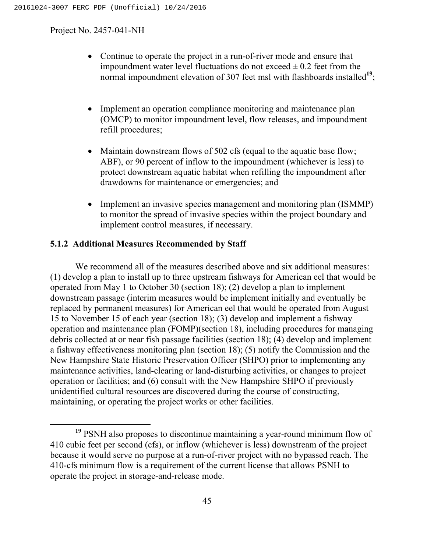- Continue to operate the project in a run-of-river mode and ensure that impoundment water level fluctuations do not exceed  $\pm$  0.2 feet from the normal impoundment elevation of 307 feet msl with flashboards installed<sup>19</sup>;
- Implement an operation compliance monitoring and maintenance plan (OMCP) to monitor impoundment level, flow releases, and impoundment refill procedures;
- Maintain downstream flows of 502 cfs (equal to the aquatic base flow; ABF), or 90 percent of inflow to the impoundment (whichever is less) to protect downstream aquatic habitat when refilling the impoundment after drawdowns for maintenance or emergencies; and
- Implement an invasive species management and monitoring plan (ISMMP) to monitor the spread of invasive species within the project boundary and implement control measures, if necessary.

# **5.1.2 Additional Measures Recommended by Staff**

We recommend all of the measures described above and six additional measures: (1) develop a plan to install up to three upstream fishways for American eel that would be operated from May 1 to October 30 (section 18); (2) develop a plan to implement downstream passage (interim measures would be implement initially and eventually be replaced by permanent measures) for American eel that would be operated from August 15 to November 15 of each year (section 18); (3) develop and implement a fishway operation and maintenance plan (FOMP)(section 18), including procedures for managing debris collected at or near fish passage facilities (section 18); (4) develop and implement a fishway effectiveness monitoring plan (section 18); (5) notify the Commission and the New Hampshire State Historic Preservation Officer (SHPO) prior to implementing any maintenance activities, land-clearing or land-disturbing activities, or changes to project operation or facilities; and (6) consult with the New Hampshire SHPO if previously unidentified cultural resources are discovered during the course of constructing, maintaining, or operating the project works or other facilities.

**<sup>19</sup>** PSNH also proposes to discontinue maintaining a year-round minimum flow of 410 cubic feet per second (cfs), or inflow (whichever is less) downstream of the project because it would serve no purpose at a run-of-river project with no bypassed reach. The 410-cfs minimum flow is a requirement of the current license that allows PSNH to operate the project in storage-and-release mode.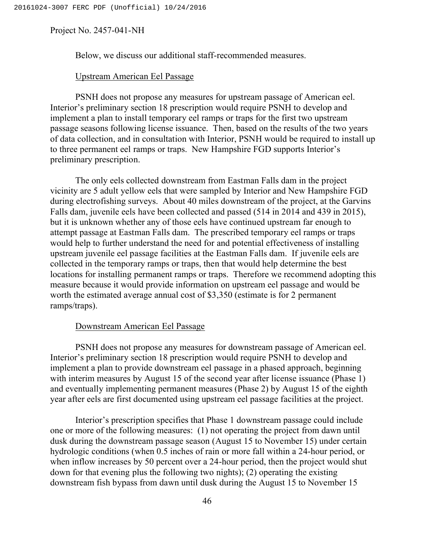Below, we discuss our additional staff-recommended measures.

## Upstream American Eel Passage

PSNH does not propose any measures for upstream passage of American eel. Interior's preliminary section 18 prescription would require PSNH to develop and implement a plan to install temporary eel ramps or traps for the first two upstream passage seasons following license issuance. Then, based on the results of the two years of data collection, and in consultation with Interior, PSNH would be required to install up to three permanent eel ramps or traps. New Hampshire FGD supports Interior's preliminary prescription.

The only eels collected downstream from Eastman Falls dam in the project vicinity are 5 adult yellow eels that were sampled by Interior and New Hampshire FGD during electrofishing surveys. About 40 miles downstream of the project, at the Garvins Falls dam, juvenile eels have been collected and passed (514 in 2014 and 439 in 2015), but it is unknown whether any of those eels have continued upstream far enough to attempt passage at Eastman Falls dam. The prescribed temporary eel ramps or traps would help to further understand the need for and potential effectiveness of installing upstream juvenile eel passage facilities at the Eastman Falls dam. If juvenile eels are collected in the temporary ramps or traps, then that would help determine the best locations for installing permanent ramps or traps. Therefore we recommend adopting this measure because it would provide information on upstream eel passage and would be worth the estimated average annual cost of \$3,350 (estimate is for 2 permanent ramps/traps).

# Downstream American Eel Passage

PSNH does not propose any measures for downstream passage of American eel. Interior's preliminary section 18 prescription would require PSNH to develop and implement a plan to provide downstream eel passage in a phased approach, beginning with interim measures by August 15 of the second year after license issuance (Phase 1) and eventually implementing permanent measures (Phase 2) by August 15 of the eighth year after eels are first documented using upstream eel passage facilities at the project.

Interior's prescription specifies that Phase 1 downstream passage could include one or more of the following measures: (1) not operating the project from dawn until dusk during the downstream passage season (August 15 to November 15) under certain hydrologic conditions (when 0.5 inches of rain or more fall within a 24-hour period, or when inflow increases by 50 percent over a 24-hour period, then the project would shut down for that evening plus the following two nights); (2) operating the existing downstream fish bypass from dawn until dusk during the August 15 to November 15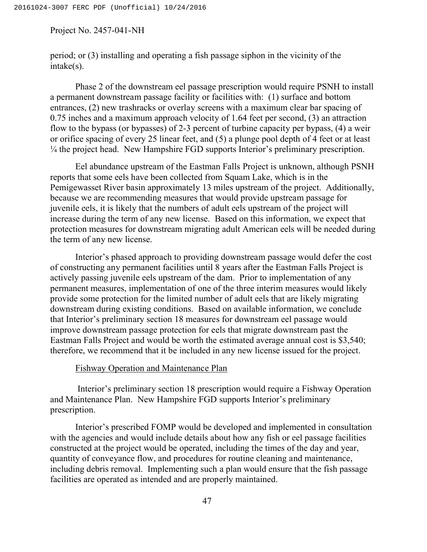period; or (3) installing and operating a fish passage siphon in the vicinity of the intake(s).

Phase 2 of the downstream eel passage prescription would require PSNH to install a permanent downstream passage facility or facilities with: (1) surface and bottom entrances, (2) new trashracks or overlay screens with a maximum clear bar spacing of 0.75 inches and a maximum approach velocity of 1.64 feet per second, (3) an attraction flow to the bypass (or bypasses) of 2-3 percent of turbine capacity per bypass, (4) a weir or orifice spacing of every 25 linear feet, and (5) a plunge pool depth of 4 feet or at least ¼ the project head. New Hampshire FGD supports Interior's preliminary prescription.

Eel abundance upstream of the Eastman Falls Project is unknown, although PSNH reports that some eels have been collected from Squam Lake, which is in the Pemigewasset River basin approximately 13 miles upstream of the project. Additionally, because we are recommending measures that would provide upstream passage for juvenile eels, it is likely that the numbers of adult eels upstream of the project will increase during the term of any new license. Based on this information, we expect that protection measures for downstream migrating adult American eels will be needed during the term of any new license.

Interior's phased approach to providing downstream passage would defer the cost of constructing any permanent facilities until 8 years after the Eastman Falls Project is actively passing juvenile eels upstream of the dam. Prior to implementation of any permanent measures, implementation of one of the three interim measures would likely provide some protection for the limited number of adult eels that are likely migrating downstream during existing conditions. Based on available information, we conclude that Interior's preliminary section 18 measures for downstream eel passage would improve downstream passage protection for eels that migrate downstream past the Eastman Falls Project and would be worth the estimated average annual cost is \$3,540; therefore, we recommend that it be included in any new license issued for the project.

## Fishway Operation and Maintenance Plan

Interior's preliminary section 18 prescription would require a Fishway Operation and Maintenance Plan. New Hampshire FGD supports Interior's preliminary prescription.

Interior's prescribed FOMP would be developed and implemented in consultation with the agencies and would include details about how any fish or eel passage facilities constructed at the project would be operated, including the times of the day and year, quantity of conveyance flow, and procedures for routine cleaning and maintenance, including debris removal. Implementing such a plan would ensure that the fish passage facilities are operated as intended and are properly maintained.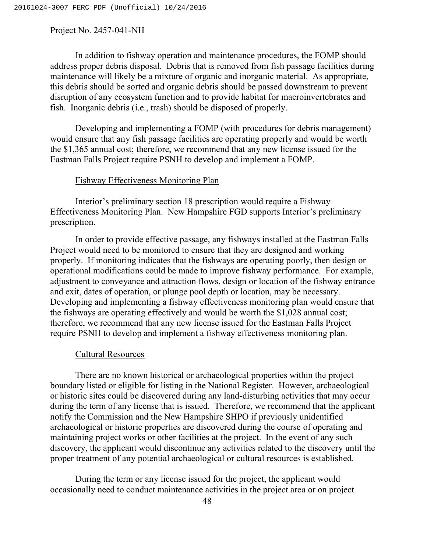In addition to fishway operation and maintenance procedures, the FOMP should address proper debris disposal. Debris that is removed from fish passage facilities during maintenance will likely be a mixture of organic and inorganic material. As appropriate, this debris should be sorted and organic debris should be passed downstream to prevent disruption of any ecosystem function and to provide habitat for macroinvertebrates and fish. Inorganic debris (i.e., trash) should be disposed of properly.

Developing and implementing a FOMP (with procedures for debris management) would ensure that any fish passage facilities are operating properly and would be worth the \$1,365 annual cost; therefore, we recommend that any new license issued for the Eastman Falls Project require PSNH to develop and implement a FOMP.

## Fishway Effectiveness Monitoring Plan

Interior's preliminary section 18 prescription would require a Fishway Effectiveness Monitoring Plan. New Hampshire FGD supports Interior's preliminary prescription.

In order to provide effective passage, any fishways installed at the Eastman Falls Project would need to be monitored to ensure that they are designed and working properly. If monitoring indicates that the fishways are operating poorly, then design or operational modifications could be made to improve fishway performance. For example, adjustment to conveyance and attraction flows, design or location of the fishway entrance and exit, dates of operation, or plunge pool depth or location, may be necessary. Developing and implementing a fishway effectiveness monitoring plan would ensure that the fishways are operating effectively and would be worth the \$1,028 annual cost; therefore, we recommend that any new license issued for the Eastman Falls Project require PSNH to develop and implement a fishway effectiveness monitoring plan.

### Cultural Resources

There are no known historical or archaeological properties within the project boundary listed or eligible for listing in the National Register. However, archaeological or historic sites could be discovered during any land-disturbing activities that may occur during the term of any license that is issued. Therefore, we recommend that the applicant notify the Commission and the New Hampshire SHPO if previously unidentified archaeological or historic properties are discovered during the course of operating and maintaining project works or other facilities at the project. In the event of any such discovery, the applicant would discontinue any activities related to the discovery until the proper treatment of any potential archaeological or cultural resources is established.

During the term or any license issued for the project, the applicant would occasionally need to conduct maintenance activities in the project area or on project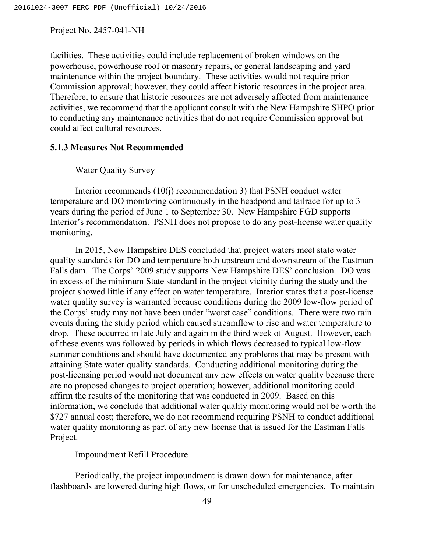facilities. These activities could include replacement of broken windows on the powerhouse, powerhouse roof or masonry repairs, or general landscaping and yard maintenance within the project boundary. These activities would not require prior Commission approval; however, they could affect historic resources in the project area. Therefore, to ensure that historic resources are not adversely affected from maintenance activities, we recommend that the applicant consult with the New Hampshire SHPO prior to conducting any maintenance activities that do not require Commission approval but could affect cultural resources.

## **5.1.3 Measures Not Recommended**

## Water Quality Survey

Interior recommends (10(j) recommendation 3) that PSNH conduct water temperature and DO monitoring continuously in the headpond and tailrace for up to 3 years during the period of June 1 to September 30. New Hampshire FGD supports Interior's recommendation. PSNH does not propose to do any post-license water quality monitoring.

In 2015, New Hampshire DES concluded that project waters meet state water quality standards for DO and temperature both upstream and downstream of the Eastman Falls dam. The Corps' 2009 study supports New Hampshire DES' conclusion. DO was in excess of the minimum State standard in the project vicinity during the study and the project showed little if any effect on water temperature. Interior states that a post-license water quality survey is warranted because conditions during the 2009 low-flow period of the Corps' study may not have been under "worst case" conditions. There were two rain events during the study period which caused streamflow to rise and water temperature to drop. These occurred in late July and again in the third week of August. However, each of these events was followed by periods in which flows decreased to typical low-flow summer conditions and should have documented any problems that may be present with attaining State water quality standards. Conducting additional monitoring during the post-licensing period would not document any new effects on water quality because there are no proposed changes to project operation; however, additional monitoring could affirm the results of the monitoring that was conducted in 2009. Based on this information, we conclude that additional water quality monitoring would not be worth the \$727 annual cost; therefore, we do not recommend requiring PSNH to conduct additional water quality monitoring as part of any new license that is issued for the Eastman Falls Project.

### Impoundment Refill Procedure

Periodically, the project impoundment is drawn down for maintenance, after flashboards are lowered during high flows, or for unscheduled emergencies. To maintain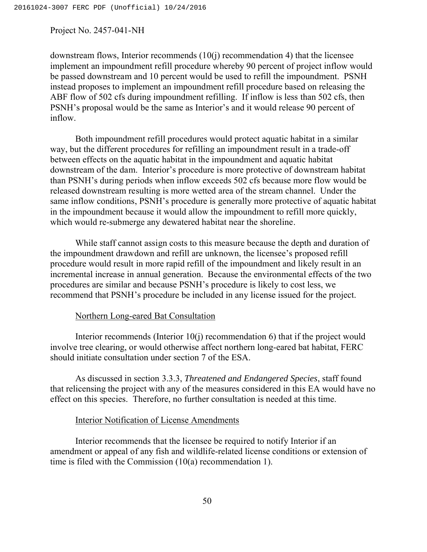downstream flows, Interior recommends (10(j) recommendation 4) that the licensee implement an impoundment refill procedure whereby 90 percent of project inflow would be passed downstream and 10 percent would be used to refill the impoundment. PSNH instead proposes to implement an impoundment refill procedure based on releasing the ABF flow of 502 cfs during impoundment refilling. If inflow is less than 502 cfs, then PSNH's proposal would be the same as Interior's and it would release 90 percent of inflow.

Both impoundment refill procedures would protect aquatic habitat in a similar way, but the different procedures for refilling an impoundment result in a trade-off between effects on the aquatic habitat in the impoundment and aquatic habitat downstream of the dam. Interior's procedure is more protective of downstream habitat than PSNH's during periods when inflow exceeds 502 cfs because more flow would be released downstream resulting is more wetted area of the stream channel. Under the same inflow conditions, PSNH's procedure is generally more protective of aquatic habitat in the impoundment because it would allow the impoundment to refill more quickly, which would re-submerge any dewatered habitat near the shoreline.

While staff cannot assign costs to this measure because the depth and duration of the impoundment drawdown and refill are unknown, the licensee's proposed refill procedure would result in more rapid refill of the impoundment and likely result in an incremental increase in annual generation. Because the environmental effects of the two procedures are similar and because PSNH's procedure is likely to cost less, we recommend that PSNH's procedure be included in any license issued for the project.

## Northern Long-eared Bat Consultation

Interior recommends (Interior 10(j) recommendation 6) that if the project would involve tree clearing, or would otherwise affect northern long-eared bat habitat, FERC should initiate consultation under section 7 of the ESA.

As discussed in section 3.3.3, *Threatened and Endangered Species*, staff found that relicensing the project with any of the measures considered in this EA would have no effect on this species. Therefore, no further consultation is needed at this time.

## Interior Notification of License Amendments

Interior recommends that the licensee be required to notify Interior if an amendment or appeal of any fish and wildlife-related license conditions or extension of time is filed with the Commission (10(a) recommendation 1).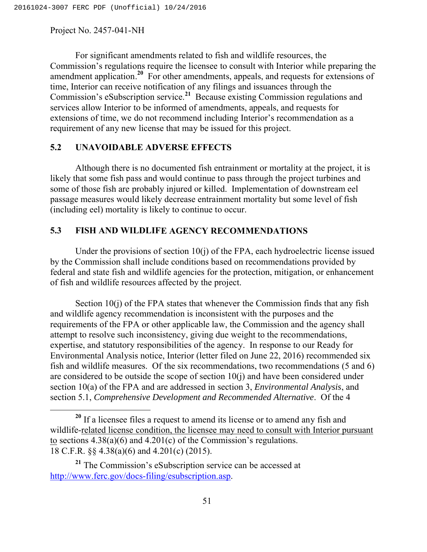For significant amendments related to fish and wildlife resources, the Commission's regulations require the licensee to consult with Interior while preparing the amendment application.**<sup>20</sup>** For other amendments, appeals, and requests for extensions of time, Interior can receive notification of any filings and issuances through the Commission's eSubscription service.**<sup>21</sup>** Because existing Commission regulations and services allow Interior to be informed of amendments, appeals, and requests for extensions of time, we do not recommend including Interior's recommendation as a requirement of any new license that may be issued for this project.

## **5.2 UNAVOIDABLE ADVERSE EFFECTS**

Although there is no documented fish entrainment or mortality at the project, it is likely that some fish pass and would continue to pass through the project turbines and some of those fish are probably injured or killed. Implementation of downstream eel passage measures would likely decrease entrainment mortality but some level of fish (including eel) mortality is likely to continue to occur.

# **5.3 FISH AND WILDLIFE AGENCY RECOMMENDATIONS**

Under the provisions of section 10(j) of the FPA, each hydroelectric license issued by the Commission shall include conditions based on recommendations provided by federal and state fish and wildlife agencies for the protection, mitigation, or enhancement of fish and wildlife resources affected by the project.

Section 10(j) of the FPA states that whenever the Commission finds that any fish and wildlife agency recommendation is inconsistent with the purposes and the requirements of the FPA or other applicable law, the Commission and the agency shall attempt to resolve such inconsistency, giving due weight to the recommendations, expertise, and statutory responsibilities of the agency. In response to our Ready for Environmental Analysis notice, Interior (letter filed on June 22, 2016) recommended six fish and wildlife measures. Of the six recommendations, two recommendations (5 and 6) are considered to be outside the scope of section  $10(i)$  and have been considered under section 10(a) of the FPA and are addressed in section 3, *Environmental Analysis*, and section 5.1, *Comprehensive Development and Recommended Alternative*. Of the 4

<sup>&</sup>lt;sup>20</sup> If a licensee files a request to amend its license or to amend any fish and wildlife-related license condition, the licensee may need to consult with Interior pursuant to sections 4.38(a)(6) and 4.201(c) of the Commission's regulations. 18 C.F.R. §§ 4.38(a)(6) and 4.201(c) (2015).

**<sup>21</sup>** The Commission's eSubscription service can be accessed at http://www.ferc.gov/docs-filing/esubscription.asp.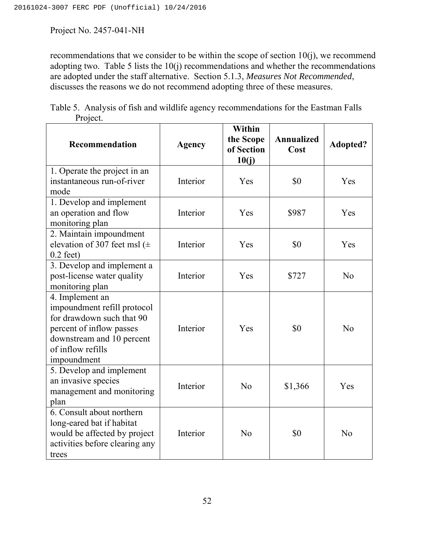recommendations that we consider to be within the scope of section 10(j), we recommend adopting two. Table 5 lists the 10(j) recommendations and whether the recommendations are adopted under the staff alternative. Section 5.1.3, *Measures Not Recommended*, discusses the reasons we do not recommend adopting three of these measures.

| Table 5. Analysis of fish and wildlife agency recommendations for the Eastman Falls |  |  |  |
|-------------------------------------------------------------------------------------|--|--|--|
| Project.                                                                            |  |  |  |

| Recommendation                                                                                                                                                           | <b>Agency</b> | Within<br>the Scope<br>of Section<br>10(j) | Annualized<br>Cost | Adopted?       |
|--------------------------------------------------------------------------------------------------------------------------------------------------------------------------|---------------|--------------------------------------------|--------------------|----------------|
| 1. Operate the project in an<br>instantaneous run-of-river<br>mode                                                                                                       | Interior      | Yes                                        | \$0                | Yes            |
| 1. Develop and implement<br>an operation and flow<br>monitoring plan                                                                                                     | Interior      | Yes                                        | \$987              | Yes            |
| 2. Maintain impoundment<br>elevation of 307 feet msl ( $\pm$<br>$0.2$ feet)                                                                                              | Interior      | Yes                                        | \$0                | Yes            |
| 3. Develop and implement a<br>post-license water quality<br>monitoring plan                                                                                              | Interior      | Yes                                        | \$727              | No             |
| 4. Implement an<br>impoundment refill protocol<br>for drawdown such that 90<br>percent of inflow passes<br>downstream and 10 percent<br>of inflow refills<br>impoundment | Interior      | Yes                                        | \$0                | N <sub>o</sub> |
| 5. Develop and implement<br>an invasive species<br>management and monitoring<br>plan                                                                                     | Interior      | N <sub>o</sub>                             | \$1,366            | Yes            |
| 6. Consult about northern<br>long-eared bat if habitat<br>would be affected by project<br>activities before clearing any<br>trees                                        | Interior      | N <sub>o</sub>                             | \$0                | N <sub>o</sub> |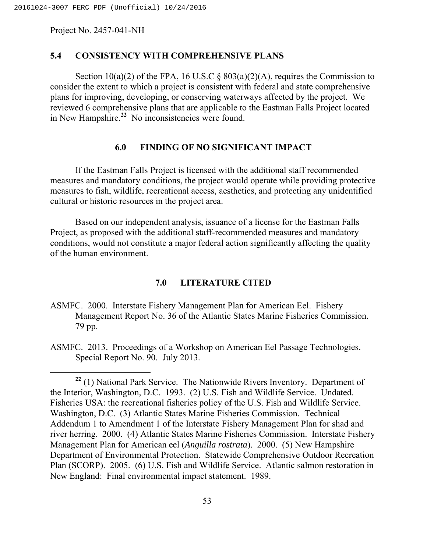# **5.4 CONSISTENCY WITH COMPREHENSIVE PLANS**

Section 10(a)(2) of the FPA, 16 U.S.C  $\S$  803(a)(2)(A), requires the Commission to consider the extent to which a project is consistent with federal and state comprehensive plans for improving, developing, or conserving waterways affected by the project. We reviewed 6 comprehensive plans that are applicable to the Eastman Falls Project located in New Hampshire.**<sup>22</sup>** No inconsistencies were found.

## **6.0 FINDING OF NO SIGNIFICANT IMPACT**

If the Eastman Falls Project is licensed with the additional staff recommended measures and mandatory conditions, the project would operate while providing protective measures to fish, wildlife, recreational access, aesthetics, and protecting any unidentified cultural or historic resources in the project area.

Based on our independent analysis, issuance of a license for the Eastman Falls Project, as proposed with the additional staff-recommended measures and mandatory conditions, would not constitute a major federal action significantly affecting the quality of the human environment.

# **7.0 LITERATURE CITED**

- ASMFC. 2000. Interstate Fishery Management Plan for American Eel. Fishery Management Report No. 36 of the Atlantic States Marine Fisheries Commission. 79 pp.
- ASMFC. 2013. Proceedings of a Workshop on American Eel Passage Technologies. Special Report No. 90. July 2013.

**<sup>22</sup>** (1) National Park Service. The Nationwide Rivers Inventory. Department of the Interior, Washington, D.C. 1993. (2) U.S. Fish and Wildlife Service. Undated. Fisheries USA: the recreational fisheries policy of the U.S. Fish and Wildlife Service. Washington, D.C. (3) Atlantic States Marine Fisheries Commission. Technical Addendum 1 to Amendment 1 of the Interstate Fishery Management Plan for shad and river herring. 2000. (4) Atlantic States Marine Fisheries Commission. Interstate Fishery Management Plan for American eel (*Anguilla rostrata*). 2000. (5) New Hampshire Department of Environmental Protection. Statewide Comprehensive Outdoor Recreation Plan (SCORP). 2005. (6) U.S. Fish and Wildlife Service. Atlantic salmon restoration in New England: Final environmental impact statement. 1989.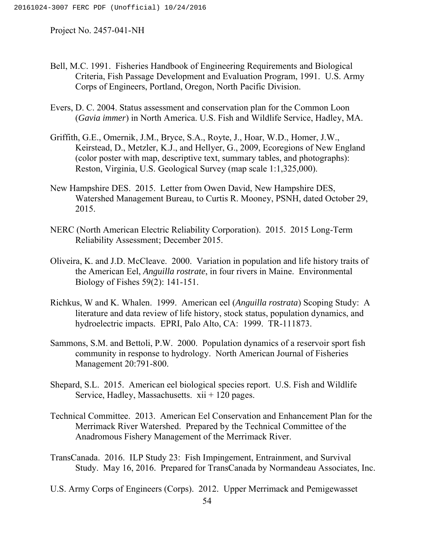- Bell, M.C. 1991. Fisheries Handbook of Engineering Requirements and Biological Criteria, Fish Passage Development and Evaluation Program, 1991. U.S. Army Corps of Engineers, Portland, Oregon, North Pacific Division.
- Evers, D. C. 2004. Status assessment and conservation plan for the Common Loon (*Gavia immer*) in North America. U.S. Fish and Wildlife Service, Hadley, MA.
- Griffith, G.E., Omernik, J.M., Bryce, S.A., Royte, J., Hoar, W.D., Homer, J.W., Keirstead, D., Metzler, K.J., and Hellyer, G., 2009, Ecoregions of New England (color poster with map, descriptive text, summary tables, and photographs): Reston, Virginia, U.S. Geological Survey (map scale 1:1,325,000).
- New Hampshire DES. 2015. Letter from Owen David, New Hampshire DES, Watershed Management Bureau, to Curtis R. Mooney, PSNH, dated October 29, 2015.
- NERC (North American Electric Reliability Corporation). 2015. 2015 Long-Term Reliability Assessment; December 2015.
- Oliveira, K. and J.D. McCleave. 2000. Variation in population and life history traits of the American Eel, *Anguilla rostrate*, in four rivers in Maine. Environmental Biology of Fishes 59(2): 141-151.
- Richkus, W and K. Whalen. 1999. American eel (*Anguilla rostrata*) Scoping Study: A literature and data review of life history, stock status, population dynamics, and hydroelectric impacts. EPRI, Palo Alto, CA: 1999. TR-111873.
- Sammons, S.M. and Bettoli, P.W. 2000. Population dynamics of a reservoir sport fish community in response to hydrology. North American Journal of Fisheries Management 20:791-800.
- Shepard, S.L. 2015. American eel biological species report. U.S. Fish and Wildlife Service, Hadley, Massachusetts.  $xii + 120$  pages.
- Technical Committee. 2013. American Eel Conservation and Enhancement Plan for the Merrimack River Watershed. Prepared by the Technical Committee of the Anadromous Fishery Management of the Merrimack River.
- TransCanada. 2016. ILP Study 23: Fish Impingement, Entrainment, and Survival Study. May 16, 2016. Prepared for TransCanada by Normandeau Associates, Inc.
- U.S. Army Corps of Engineers (Corps). 2012. Upper Merrimack and Pemigewasset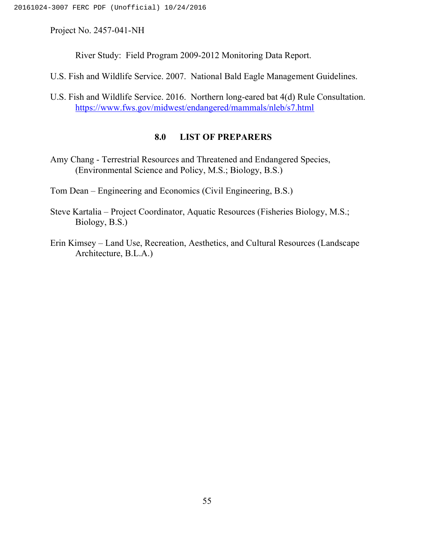River Study: Field Program 2009-2012 Monitoring Data Report.

U.S. Fish and Wildlife Service. 2007. National Bald Eagle Management Guidelines.

U.S. Fish and Wildlife Service. 2016. Northern long-eared bat 4(d) Rule Consultation. https://www.fws.gov/midwest/endangered/mammals/nleb/s7.html

# **8.0 LIST OF PREPARERS**

Amy Chang - Terrestrial Resources and Threatened and Endangered Species, (Environmental Science and Policy, M.S.; Biology, B.S.)

Tom Dean – Engineering and Economics (Civil Engineering, B.S.)

- Steve Kartalia Project Coordinator, Aquatic Resources (Fisheries Biology, M.S.; Biology, B.S.)
- Erin Kimsey Land Use, Recreation, Aesthetics, and Cultural Resources (Landscape Architecture, B.L.A.)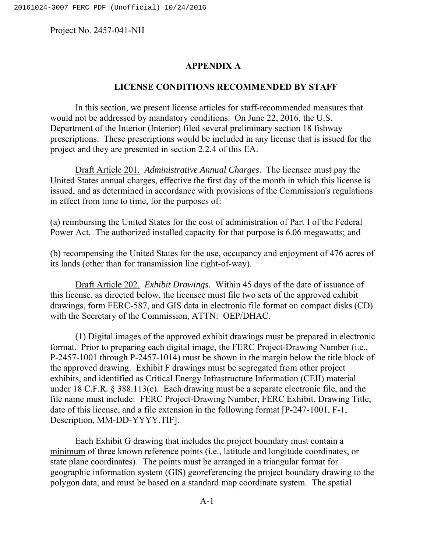## **APPENDIX A**

#### **LICENSE CONDITIONS RECOMMENDED BY STAFF**

In this section, we present license articles for staff-recommended measures that would not be addressed by mandatory conditions. On June 22, 2016, the U.S. Department of the Interior (Interior) filed several preliminary section 18 fishway prescriptions. These prescriptions would be included in any license that is issued for the project and they are presented in section 2.2.4 of this EA.

Draft Article 201. *Administrative Annual Charges*. The licensee must pay the United States annual charges, effective the first day of the month in which this license is issued, and as determined in accordance with provisions of the Commission's regulations in effect from time to time, for the purposes of:

(a) reimbursing the United States for the cost of administration of Part I of the Federal Power Act. The authorized installed capacity for that purpose is 6.06 megawatts; and

(b) recompensing the United States for the use, occupancy and enjoyment of 476 acres of its lands (other than for transmission line right-of-way).

Draft Article 202. *Exhibit Drawings.* Within 45 days of the date of issuance of this license, as directed below, the licensee must file two sets of the approved exhibit drawings, form FERC-587, and GIS data in electronic file format on compact disks (CD) with the Secretary of the Commission, ATTN: OEP/DHAC.

(1) Digital images of the approved exhibit drawings must be prepared in electronic format. Prior to preparing each digital image, the FERC Project-Drawing Number (i.e., P-2457-1001 through P-2457-1014) must be shown in the margin below the title block of the approved drawing. Exhibit F drawings must be segregated from other project exhibits, and identified as Critical Energy Infrastructure Information (CEII) material under 18 C.F.R. § 388.113(c). Each drawing must be a separate electronic file, and the file name must include: FERC Project-Drawing Number, FERC Exhibit, Drawing Title, date of this license, and a file extension in the following format [P-247-1001, F-1, Description, MM-DD-YYYY.TIF].

Each Exhibit G drawing that includes the project boundary must contain a minimum of three known reference points (i.e., latitude and longitude coordinates, or state plane coordinates). The points must be arranged in a triangular format for geographic information system (GIS) georeferencing the project boundary drawing to the polygon data, and must be based on a standard map coordinate system. The spatial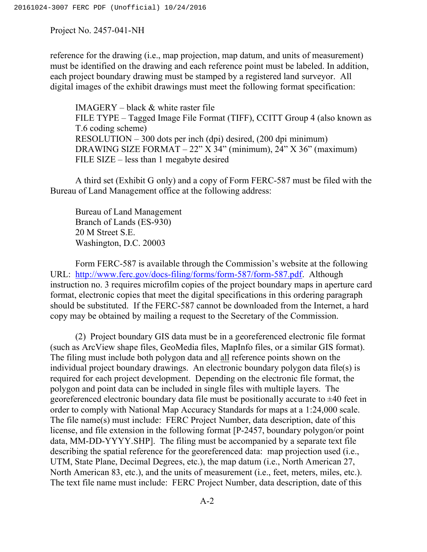reference for the drawing (i.e., map projection, map datum, and units of measurement) must be identified on the drawing and each reference point must be labeled. In addition, each project boundary drawing must be stamped by a registered land surveyor. All digital images of the exhibit drawings must meet the following format specification:

IMAGERY – black & white raster file FILE TYPE – Tagged Image File Format (TIFF), CCITT Group 4 (also known as T.6 coding scheme) RESOLUTION – 300 dots per inch (dpi) desired, (200 dpi minimum) DRAWING SIZE FORMAT – 22" X 34" (minimum), 24" X 36" (maximum) FILE SIZE – less than 1 megabyte desired

A third set (Exhibit G only) and a copy of Form FERC-587 must be filed with the Bureau of Land Management office at the following address:

Bureau of Land Management Branch of Lands (ES-930) 20 M Street S.E. Washington, D.C. 20003

Form FERC-587 is available through the Commission's website at the following URL: http://www.ferc.gov/docs-filing/forms/form-587/form-587.pdf. Although instruction no. 3 requires microfilm copies of the project boundary maps in aperture card format, electronic copies that meet the digital specifications in this ordering paragraph should be substituted. If the FERC-587 cannot be downloaded from the Internet, a hard copy may be obtained by mailing a request to the Secretary of the Commission.

(2) Project boundary GIS data must be in a georeferenced electronic file format (such as ArcView shape files, GeoMedia files, MapInfo files, or a similar GIS format). The filing must include both polygon data and all reference points shown on the individual project boundary drawings. An electronic boundary polygon data file(s) is required for each project development. Depending on the electronic file format, the polygon and point data can be included in single files with multiple layers. The georeferenced electronic boundary data file must be positionally accurate to  $\pm 40$  feet in order to comply with National Map Accuracy Standards for maps at a 1:24,000 scale. The file name(s) must include: FERC Project Number, data description, date of this license, and file extension in the following format [P-2457, boundary polygon/or point data, MM-DD-YYYY.SHP]. The filing must be accompanied by a separate text file describing the spatial reference for the georeferenced data: map projection used (i.e., UTM, State Plane, Decimal Degrees, etc.), the map datum (i.e., North American 27, North American 83, etc.), and the units of measurement (i.e., feet, meters, miles, etc.). The text file name must include: FERC Project Number, data description, date of this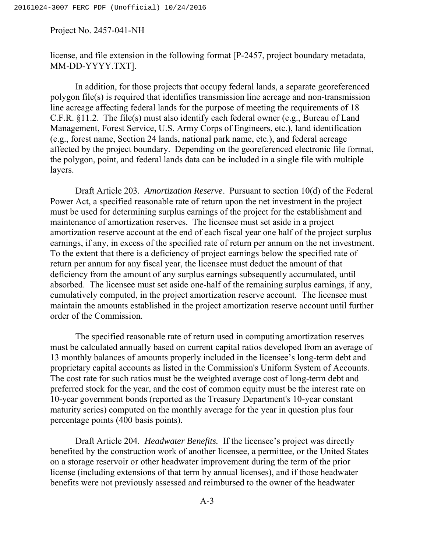license, and file extension in the following format [P-2457, project boundary metadata, MM-DD-YYYY.TXT].

In addition, for those projects that occupy federal lands, a separate georeferenced polygon file(s) is required that identifies transmission line acreage and non-transmission line acreage affecting federal lands for the purpose of meeting the requirements of 18 C.F.R. §11.2. The file(s) must also identify each federal owner (e.g., Bureau of Land Management, Forest Service, U.S. Army Corps of Engineers, etc.), land identification (e.g., forest name, Section 24 lands, national park name, etc.), and federal acreage affected by the project boundary. Depending on the georeferenced electronic file format, the polygon, point, and federal lands data can be included in a single file with multiple layers.

Draft Article 203. *Amortization Reserve*. Pursuant to section 10(d) of the Federal Power Act, a specified reasonable rate of return upon the net investment in the project must be used for determining surplus earnings of the project for the establishment and maintenance of amortization reserves. The licensee must set aside in a project amortization reserve account at the end of each fiscal year one half of the project surplus earnings, if any, in excess of the specified rate of return per annum on the net investment. To the extent that there is a deficiency of project earnings below the specified rate of return per annum for any fiscal year, the licensee must deduct the amount of that deficiency from the amount of any surplus earnings subsequently accumulated, until absorbed. The licensee must set aside one-half of the remaining surplus earnings, if any, cumulatively computed, in the project amortization reserve account. The licensee must maintain the amounts established in the project amortization reserve account until further order of the Commission.

The specified reasonable rate of return used in computing amortization reserves must be calculated annually based on current capital ratios developed from an average of 13 monthly balances of amounts properly included in the licensee's long-term debt and proprietary capital accounts as listed in the Commission's Uniform System of Accounts. The cost rate for such ratios must be the weighted average cost of long-term debt and preferred stock for the year, and the cost of common equity must be the interest rate on 10-year government bonds (reported as the Treasury Department's 10-year constant maturity series) computed on the monthly average for the year in question plus four percentage points (400 basis points).

Draft Article 204. *Headwater Benefits.* If the licensee's project was directly benefited by the construction work of another licensee, a permittee, or the United States on a storage reservoir or other headwater improvement during the term of the prior license (including extensions of that term by annual licenses), and if those headwater benefits were not previously assessed and reimbursed to the owner of the headwater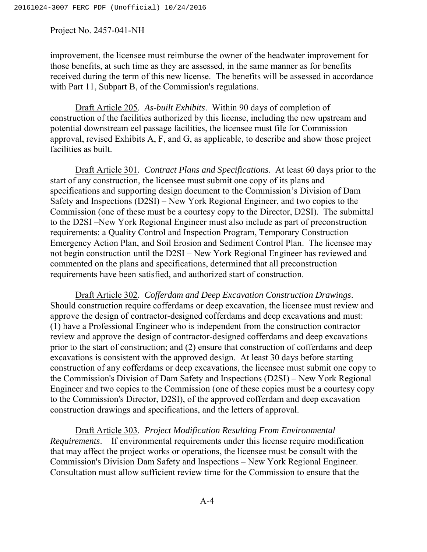improvement, the licensee must reimburse the owner of the headwater improvement for those benefits, at such time as they are assessed, in the same manner as for benefits received during the term of this new license. The benefits will be assessed in accordance with Part 11, Subpart B, of the Commission's regulations.

Draft Article 205. *As-built Exhibits*. Within 90 days of completion of construction of the facilities authorized by this license, including the new upstream and potential downstream eel passage facilities, the licensee must file for Commission approval, revised Exhibits A, F, and G, as applicable, to describe and show those project facilities as built.

Draft Article 301. *Contract Plans and Specifications*. At least 60 days prior to the start of any construction, the licensee must submit one copy of its plans and specifications and supporting design document to the Commission's Division of Dam Safety and Inspections (D2SI) – New York Regional Engineer, and two copies to the Commission (one of these must be a courtesy copy to the Director, D2SI). The submittal to the D2SI –New York Regional Engineer must also include as part of preconstruction requirements: a Quality Control and Inspection Program, Temporary Construction Emergency Action Plan, and Soil Erosion and Sediment Control Plan. The licensee may not begin construction until the D2SI – New York Regional Engineer has reviewed and commented on the plans and specifications, determined that all preconstruction requirements have been satisfied, and authorized start of construction.

Draft Article 302. *Cofferdam and Deep Excavation Construction Drawings*. Should construction require cofferdams or deep excavation, the licensee must review and approve the design of contractor-designed cofferdams and deep excavations and must: (1) have a Professional Engineer who is independent from the construction contractor review and approve the design of contractor-designed cofferdams and deep excavations prior to the start of construction; and (2) ensure that construction of cofferdams and deep excavations is consistent with the approved design. At least 30 days before starting construction of any cofferdams or deep excavations, the licensee must submit one copy to the Commission's Division of Dam Safety and Inspections (D2SI) – New York Regional Engineer and two copies to the Commission (one of these copies must be a courtesy copy to the Commission's Director, D2SI), of the approved cofferdam and deep excavation construction drawings and specifications, and the letters of approval.

Draft Article 303. *Project Modification Resulting From Environmental Requirements*. If environmental requirements under this license require modification that may affect the project works or operations, the licensee must be consult with the Commission's Division Dam Safety and Inspections – New York Regional Engineer. Consultation must allow sufficient review time for the Commission to ensure that the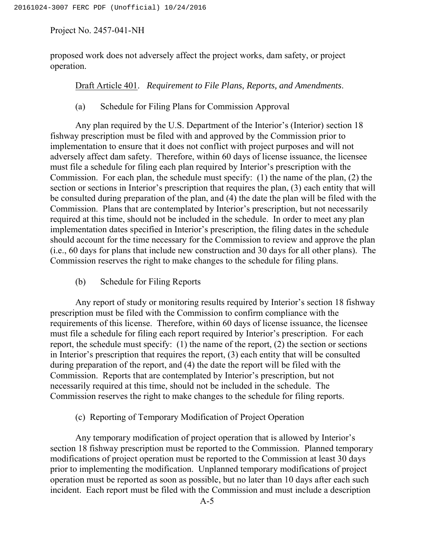proposed work does not adversely affect the project works, dam safety, or project operation.

Draft Article 401. *Requirement to File Plans, Reports, and Amendments*.

# (a) Schedule for Filing Plans for Commission Approval

Any plan required by the U.S. Department of the Interior's (Interior) section 18 fishway prescription must be filed with and approved by the Commission prior to implementation to ensure that it does not conflict with project purposes and will not adversely affect dam safety. Therefore, within 60 days of license issuance, the licensee must file a schedule for filing each plan required by Interior's prescription with the Commission. For each plan, the schedule must specify: (1) the name of the plan, (2) the section or sections in Interior's prescription that requires the plan, (3) each entity that will be consulted during preparation of the plan, and (4) the date the plan will be filed with the Commission. Plans that are contemplated by Interior's prescription, but not necessarily required at this time, should not be included in the schedule. In order to meet any plan implementation dates specified in Interior's prescription, the filing dates in the schedule should account for the time necessary for the Commission to review and approve the plan (i.e., 60 days for plans that include new construction and 30 days for all other plans). The Commission reserves the right to make changes to the schedule for filing plans.

(b) Schedule for Filing Reports

Any report of study or monitoring results required by Interior's section 18 fishway prescription must be filed with the Commission to confirm compliance with the requirements of this license. Therefore, within 60 days of license issuance, the licensee must file a schedule for filing each report required by Interior's prescription. For each report, the schedule must specify: (1) the name of the report, (2) the section or sections in Interior's prescription that requires the report, (3) each entity that will be consulted during preparation of the report, and (4) the date the report will be filed with the Commission. Reports that are contemplated by Interior's prescription, but not necessarily required at this time, should not be included in the schedule. The Commission reserves the right to make changes to the schedule for filing reports.

## (c) Reporting of Temporary Modification of Project Operation

Any temporary modification of project operation that is allowed by Interior's section 18 fishway prescription must be reported to the Commission. Planned temporary modifications of project operation must be reported to the Commission at least 30 days prior to implementing the modification. Unplanned temporary modifications of project operation must be reported as soon as possible, but no later than 10 days after each such incident. Each report must be filed with the Commission and must include a description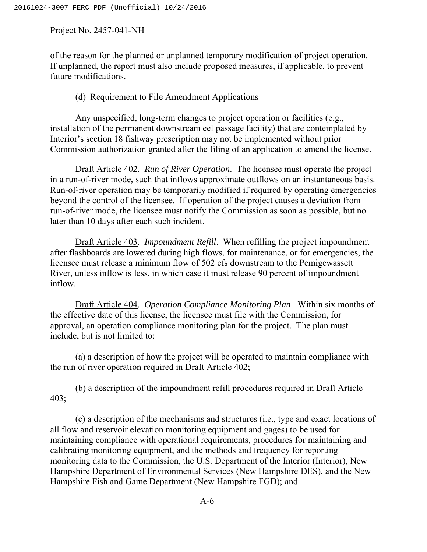of the reason for the planned or unplanned temporary modification of project operation. If unplanned, the report must also include proposed measures, if applicable, to prevent future modifications.

## (d) Requirement to File Amendment Applications

Any unspecified, long-term changes to project operation or facilities (e.g., installation of the permanent downstream eel passage facility) that are contemplated by Interior's section 18 fishway prescription may not be implemented without prior Commission authorization granted after the filing of an application to amend the license.

Draft Article 402. *Run of River Operation*. The licensee must operate the project in a run-of-river mode, such that inflows approximate outflows on an instantaneous basis. Run-of-river operation may be temporarily modified if required by operating emergencies beyond the control of the licensee. If operation of the project causes a deviation from run-of-river mode, the licensee must notify the Commission as soon as possible, but no later than 10 days after each such incident.

Draft Article 403. *Impoundment Refill*. When refilling the project impoundment after flashboards are lowered during high flows, for maintenance, or for emergencies, the licensee must release a minimum flow of 502 cfs downstream to the Pemigewassett River, unless inflow is less, in which case it must release 90 percent of impoundment inflow.

Draft Article 404. *Operation Compliance Monitoring Plan*. Within six months of the effective date of this license, the licensee must file with the Commission, for approval, an operation compliance monitoring plan for the project. The plan must include, but is not limited to:

(a) a description of how the project will be operated to maintain compliance with the run of river operation required in Draft Article 402;

(b) a description of the impoundment refill procedures required in Draft Article 403;

(c) a description of the mechanisms and structures (i.e., type and exact locations of all flow and reservoir elevation monitoring equipment and gages) to be used for maintaining compliance with operational requirements, procedures for maintaining and calibrating monitoring equipment, and the methods and frequency for reporting monitoring data to the Commission, the U.S. Department of the Interior (Interior), New Hampshire Department of Environmental Services (New Hampshire DES), and the New Hampshire Fish and Game Department (New Hampshire FGD); and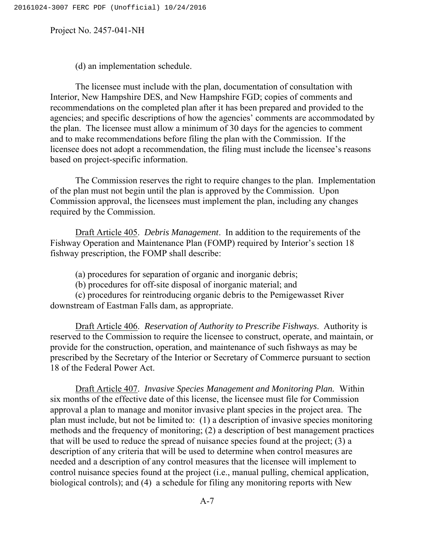(d) an implementation schedule.

The licensee must include with the plan, documentation of consultation with Interior, New Hampshire DES, and New Hampshire FGD; copies of comments and recommendations on the completed plan after it has been prepared and provided to the agencies; and specific descriptions of how the agencies' comments are accommodated by the plan. The licensee must allow a minimum of 30 days for the agencies to comment and to make recommendations before filing the plan with the Commission. If the licensee does not adopt a recommendation, the filing must include the licensee's reasons based on project-specific information.

The Commission reserves the right to require changes to the plan. Implementation of the plan must not begin until the plan is approved by the Commission. Upon Commission approval, the licensees must implement the plan, including any changes required by the Commission.

Draft Article 405. *Debris Management*. In addition to the requirements of the Fishway Operation and Maintenance Plan (FOMP) required by Interior's section 18 fishway prescription, the FOMP shall describe:

(a) procedures for separation of organic and inorganic debris;

(b) procedures for off-site disposal of inorganic material; and

(c) procedures for reintroducing organic debris to the Pemigewasset River downstream of Eastman Falls dam, as appropriate.

Draft Article 406. *Reservation of Authority to Prescribe Fishways*. Authority is reserved to the Commission to require the licensee to construct, operate, and maintain, or provide for the construction, operation, and maintenance of such fishways as may be prescribed by the Secretary of the Interior or Secretary of Commerce pursuant to section 18 of the Federal Power Act.

Draft Article 407. *Invasive Species Management and Monitoring Plan.* Within six months of the effective date of this license, the licensee must file for Commission approval a plan to manage and monitor invasive plant species in the project area. The plan must include, but not be limited to: (1) a description of invasive species monitoring methods and the frequency of monitoring; (2) a description of best management practices that will be used to reduce the spread of nuisance species found at the project; (3) a description of any criteria that will be used to determine when control measures are needed and a description of any control measures that the licensee will implement to control nuisance species found at the project (i.e., manual pulling, chemical application, biological controls); and (4) a schedule for filing any monitoring reports with New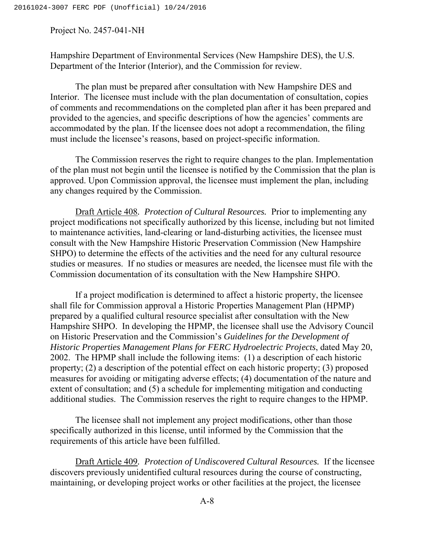Hampshire Department of Environmental Services (New Hampshire DES), the U.S. Department of the Interior (Interior), and the Commission for review.

The plan must be prepared after consultation with New Hampshire DES and Interior. The licensee must include with the plan documentation of consultation, copies of comments and recommendations on the completed plan after it has been prepared and provided to the agencies, and specific descriptions of how the agencies' comments are accommodated by the plan. If the licensee does not adopt a recommendation, the filing must include the licensee's reasons, based on project-specific information.

The Commission reserves the right to require changes to the plan. Implementation of the plan must not begin until the licensee is notified by the Commission that the plan is approved. Upon Commission approval, the licensee must implement the plan, including any changes required by the Commission.

Draft Article 408*. Protection of Cultural Resources.* Prior to implementing any project modifications not specifically authorized by this license, including but not limited to maintenance activities, land-clearing or land-disturbing activities, the licensee must consult with the New Hampshire Historic Preservation Commission (New Hampshire SHPO) to determine the effects of the activities and the need for any cultural resource studies or measures. If no studies or measures are needed, the licensee must file with the Commission documentation of its consultation with the New Hampshire SHPO.

If a project modification is determined to affect a historic property, the licensee shall file for Commission approval a Historic Properties Management Plan (HPMP) prepared by a qualified cultural resource specialist after consultation with the New Hampshire SHPO. In developing the HPMP, the licensee shall use the Advisory Council on Historic Preservation and the Commission's *Guidelines for the Development of Historic Properties Management Plans for FERC Hydroelectric Projects*, dated May 20, 2002. The HPMP shall include the following items: (1) a description of each historic property; (2) a description of the potential effect on each historic property; (3) proposed measures for avoiding or mitigating adverse effects; (4) documentation of the nature and extent of consultation; and (5) a schedule for implementing mitigation and conducting additional studies. The Commission reserves the right to require changes to the HPMP.

The licensee shall not implement any project modifications, other than those specifically authorized in this license, until informed by the Commission that the requirements of this article have been fulfilled.

Draft Article 409*. Protection of Undiscovered Cultural Resources.* If the licensee discovers previously unidentified cultural resources during the course of constructing, maintaining, or developing project works or other facilities at the project, the licensee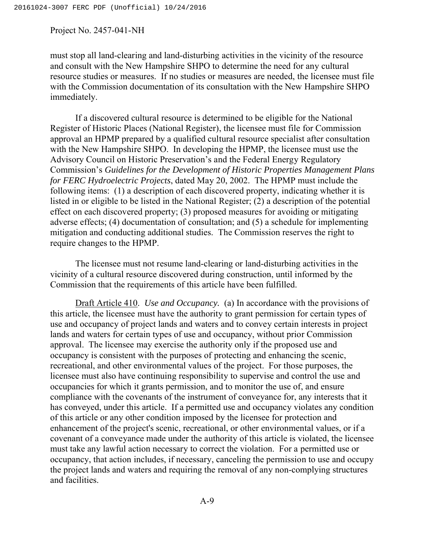must stop all land-clearing and land-disturbing activities in the vicinity of the resource and consult with the New Hampshire SHPO to determine the need for any cultural resource studies or measures. If no studies or measures are needed, the licensee must file with the Commission documentation of its consultation with the New Hampshire SHPO immediately.

If a discovered cultural resource is determined to be eligible for the National Register of Historic Places (National Register), the licensee must file for Commission approval an HPMP prepared by a qualified cultural resource specialist after consultation with the New Hampshire SHPO. In developing the HPMP, the licensee must use the Advisory Council on Historic Preservation's and the Federal Energy Regulatory Commission's *Guidelines for the Development of Historic Properties Management Plans for FERC Hydroelectric Projects*, dated May 20, 2002. The HPMP must include the following items: (1) a description of each discovered property, indicating whether it is listed in or eligible to be listed in the National Register; (2) a description of the potential effect on each discovered property; (3) proposed measures for avoiding or mitigating adverse effects; (4) documentation of consultation; and (5) a schedule for implementing mitigation and conducting additional studies. The Commission reserves the right to require changes to the HPMP.

The licensee must not resume land-clearing or land-disturbing activities in the vicinity of a cultural resource discovered during construction, until informed by the Commission that the requirements of this article have been fulfilled.

Draft Article 410. *Use and Occupancy.* (a) In accordance with the provisions of this article, the licensee must have the authority to grant permission for certain types of use and occupancy of project lands and waters and to convey certain interests in project lands and waters for certain types of use and occupancy, without prior Commission approval. The licensee may exercise the authority only if the proposed use and occupancy is consistent with the purposes of protecting and enhancing the scenic, recreational, and other environmental values of the project. For those purposes, the licensee must also have continuing responsibility to supervise and control the use and occupancies for which it grants permission, and to monitor the use of, and ensure compliance with the covenants of the instrument of conveyance for, any interests that it has conveyed, under this article. If a permitted use and occupancy violates any condition of this article or any other condition imposed by the licensee for protection and enhancement of the project's scenic, recreational, or other environmental values, or if a covenant of a conveyance made under the authority of this article is violated, the licensee must take any lawful action necessary to correct the violation. For a permitted use or occupancy, that action includes, if necessary, canceling the permission to use and occupy the project lands and waters and requiring the removal of any non-complying structures and facilities.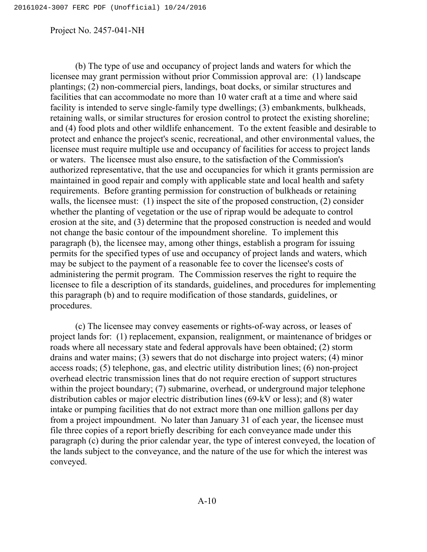(b) The type of use and occupancy of project lands and waters for which the licensee may grant permission without prior Commission approval are: (1) landscape plantings; (2) non-commercial piers, landings, boat docks, or similar structures and facilities that can accommodate no more than 10 water craft at a time and where said facility is intended to serve single-family type dwellings; (3) embankments, bulkheads, retaining walls, or similar structures for erosion control to protect the existing shoreline; and (4) food plots and other wildlife enhancement. To the extent feasible and desirable to protect and enhance the project's scenic, recreational, and other environmental values, the licensee must require multiple use and occupancy of facilities for access to project lands or waters. The licensee must also ensure, to the satisfaction of the Commission's authorized representative, that the use and occupancies for which it grants permission are maintained in good repair and comply with applicable state and local health and safety requirements. Before granting permission for construction of bulkheads or retaining walls, the licensee must: (1) inspect the site of the proposed construction, (2) consider whether the planting of vegetation or the use of riprap would be adequate to control erosion at the site, and (3) determine that the proposed construction is needed and would not change the basic contour of the impoundment shoreline. To implement this paragraph (b), the licensee may, among other things, establish a program for issuing permits for the specified types of use and occupancy of project lands and waters, which may be subject to the payment of a reasonable fee to cover the licensee's costs of administering the permit program. The Commission reserves the right to require the licensee to file a description of its standards, guidelines, and procedures for implementing this paragraph (b) and to require modification of those standards, guidelines, or procedures.

(c) The licensee may convey easements or rights-of-way across, or leases of project lands for: (1) replacement, expansion, realignment, or maintenance of bridges or roads where all necessary state and federal approvals have been obtained; (2) storm drains and water mains; (3) sewers that do not discharge into project waters; (4) minor access roads; (5) telephone, gas, and electric utility distribution lines; (6) non-project overhead electric transmission lines that do not require erection of support structures within the project boundary; (7) submarine, overhead, or underground major telephone distribution cables or major electric distribution lines (69-kV or less); and (8) water intake or pumping facilities that do not extract more than one million gallons per day from a project impoundment. No later than January 31 of each year, the licensee must file three copies of a report briefly describing for each conveyance made under this paragraph (c) during the prior calendar year, the type of interest conveyed, the location of the lands subject to the conveyance, and the nature of the use for which the interest was conveyed.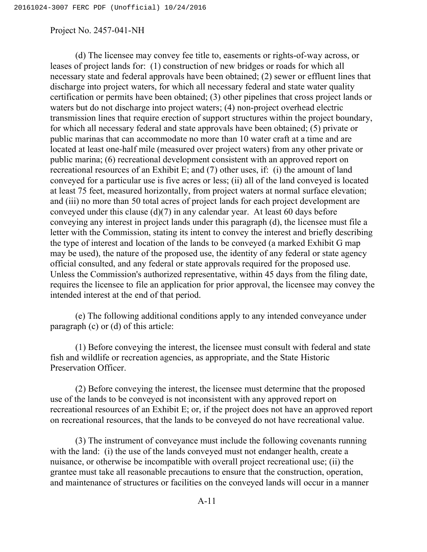(d) The licensee may convey fee title to, easements or rights-of-way across, or leases of project lands for: (1) construction of new bridges or roads for which all necessary state and federal approvals have been obtained; (2) sewer or effluent lines that discharge into project waters, for which all necessary federal and state water quality certification or permits have been obtained; (3) other pipelines that cross project lands or waters but do not discharge into project waters; (4) non-project overhead electric transmission lines that require erection of support structures within the project boundary, for which all necessary federal and state approvals have been obtained; (5) private or public marinas that can accommodate no more than 10 water craft at a time and are located at least one-half mile (measured over project waters) from any other private or public marina; (6) recreational development consistent with an approved report on recreational resources of an Exhibit E; and (7) other uses, if: (i) the amount of land conveyed for a particular use is five acres or less; (ii) all of the land conveyed is located at least 75 feet, measured horizontally, from project waters at normal surface elevation; and (iii) no more than 50 total acres of project lands for each project development are conveyed under this clause (d)(7) in any calendar year. At least 60 days before conveying any interest in project lands under this paragraph (d), the licensee must file a letter with the Commission, stating its intent to convey the interest and briefly describing the type of interest and location of the lands to be conveyed (a marked Exhibit G map may be used), the nature of the proposed use, the identity of any federal or state agency official consulted, and any federal or state approvals required for the proposed use. Unless the Commission's authorized representative, within 45 days from the filing date, requires the licensee to file an application for prior approval, the licensee may convey the intended interest at the end of that period.

(e) The following additional conditions apply to any intended conveyance under paragraph (c) or (d) of this article:

(1) Before conveying the interest, the licensee must consult with federal and state fish and wildlife or recreation agencies, as appropriate, and the State Historic Preservation Officer.

(2) Before conveying the interest, the licensee must determine that the proposed use of the lands to be conveyed is not inconsistent with any approved report on recreational resources of an Exhibit E; or, if the project does not have an approved report on recreational resources, that the lands to be conveyed do not have recreational value.

(3) The instrument of conveyance must include the following covenants running with the land: (i) the use of the lands conveyed must not endanger health, create a nuisance, or otherwise be incompatible with overall project recreational use; (ii) the grantee must take all reasonable precautions to ensure that the construction, operation, and maintenance of structures or facilities on the conveyed lands will occur in a manner